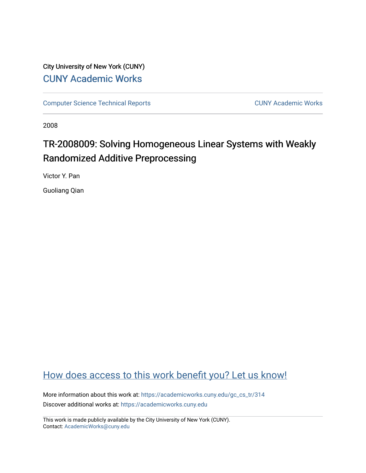# City University of New York (CUNY) [CUNY Academic Works](https://academicworks.cuny.edu/)

[Computer Science Technical Reports](https://academicworks.cuny.edu/gc_cs_tr) **CUNY Academic Works** CUNY Academic Works

2008

# TR-2008009: Solving Homogeneous Linear Systems with Weakly Randomized Additive Preprocessing

Victor Y. Pan

Guoliang Qian

# [How does access to this work benefit you? Let us know!](http://ols.cuny.edu/academicworks/?ref=https://academicworks.cuny.edu/gc_cs_tr/314)

More information about this work at: [https://academicworks.cuny.edu/gc\\_cs\\_tr/314](https://academicworks.cuny.edu/gc_cs_tr/314)  Discover additional works at: [https://academicworks.cuny.edu](https://academicworks.cuny.edu/?)

This work is made publicly available by the City University of New York (CUNY). Contact: [AcademicWorks@cuny.edu](mailto:AcademicWorks@cuny.edu)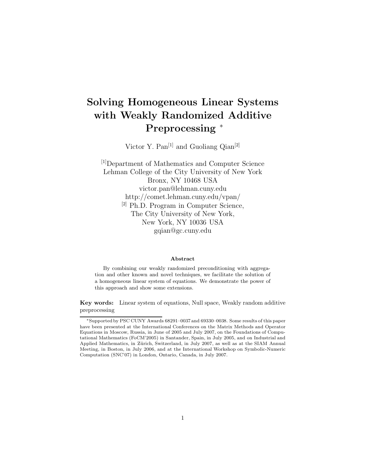# **Solving Homogeneous Linear Systems with Weakly Randomized Additive Preprocessing** <sup>∗</sup>

Victor Y. Pan<br/> $\left[1\right]$  and Guoliang Qian $\left[2\right]$ 

<sup>[1]</sup>Department of Mathematics and Computer Science Lehman College of the City University of New York Bronx, NY 10468 USA victor.pan@lehman.cuny.edu http://comet.lehman.cuny.edu/vpan/ [2] Ph.D. Program in Computer Science, The City University of New York, New York, NY 10036 USA gqian@gc.cuny.edu

#### **Abstract**

By combining our weakly randomized preconditioning with aggregation and other known and novel techniques, we facilitate the solution of a homogeneous linear system of equations. We demonstrate the power of this approach and show some extensions.

**Key words:** Linear system of equations, Null space, Weakly random additive preprocessing

<sup>∗</sup>Supported by PSC CUNY Awards 68291–0037 and 69330–0038. Some results of this paper have been presented at the International Conferences on the Matrix Methods and Operator Equations in Moscow, Russia, in June of 2005 and July 2007, on the Foundations of Computational Mathematics (FoCM'2005) in Santander, Spain, in July 2005, and on Industrial and Applied Mathematics, in Zürich, Switzerland, in July 2007, as well as at the SIAM Annual Meeting, in Boston, in July 2006, and at the International Workshop on Symbolic-Numeric Computation (SNC'07) in London, Ontario, Canada, in July 2007.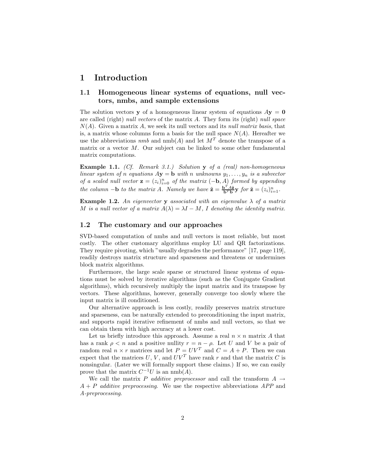## **1 Introduction**

## **1.1 Homogeneous linear systems of equations, null vectors, nmbs, and sample extensions**

The solution vectors **y** of a homogeneous linear system of equations  $A$ **y** = **0** are called (right) *null vectors* of the matrix A. They form its (right) *null space* N(A). Given a matrix A, we seek its null vectors and its *null matrix basis*, that is, a matrix whose columns form a basis for the null space  $N(A)$ . Hereafter we use the abbreviations  $nmb$  and  $nmb(A)$  and let  $M<sup>T</sup>$  denote the transpose of a matrix or a vector  $M$ . Our subject can be linked to some other fundamental matrix computations.

**Example 1.1.** *(Cf. Remark 3.1.) Solution* **y** *of a (real) non-homogeneous linear system of n equations*  $A$ **y** = **b** *with n unknowns*  $y_1, \ldots, y_n$  *is a subvector of a scaled null vector*  $\mathbf{z} = (z_i)_{i=0}^n$  *of the matrix*  $(-\mathbf{b}, A)$  *formed by appending the column*  $-\mathbf{b}$  *to the matrix A. Namely we have*  $\tilde{\mathbf{z}} = \frac{\mathbf{b}^T A \tilde{\mathbf{z}}}{\mathbf{b}^T \mathbf{b}} \mathbf{y}$  *for*  $\tilde{\mathbf{z}} = (z_i)_{i=1}^n$ .

**Example 1.2.** An eigenvector **y** associated with an eigenvalue  $\lambda$  of a matrix M is a null vector of a matrix  $A(\lambda) = \lambda I - M$ , I denoting the identity matrix.

#### **1.2 The customary and our approaches**

SVD-based computation of nmbs and null vectors is most reliable, but most costly. The other customary algorithms employ LU and QR factorizations. They require pivoting, which "usually degrades the performance" [17, page 119], readily destroys matrix structure and sparseness and threatens or undermines block matrix algorithms.

Furthermore, the large scale sparse or structured linear systems of equations must be solved by iterative algorithms (such as the Conjugate Gradient algorithms), which recursively multiply the input matrix and its transpose by vectors. These algorithms, however, generally converge too slowly where the input matrix is ill conditioned.

Our alternative approach is less costly, readily preserves matrix structure and sparseness, can be naturally extended to preconditioning the input matrix, and supports rapid iterative refinement of nmbs and null vectors, so that we can obtain them with high accuracy at a lower cost.

Let us briefly introduce this approach. Assume a real  $n \times n$  matrix A that has a rank  $\rho < n$  and a positive nullity  $r = n - \rho$ . Let U and V be a pair of random real  $n \times r$  matrices and let  $P = UV^T$  and  $C = A + P$ . Then we can expect that the matrices  $U, V$ , and  $UV<sup>T</sup>$  have rank r and that the matrix C is nonsingular. (Later we will formally support these claims.) If so, we can easily prove that the matrix  $C^{-1}U$  is an nmb(A).

We call the matrix P *additive preprocessor* and call the transform  $A \rightarrow$ A + P *additive preprocessing*. We use the respective abbreviations *APP* and *A-preprocessing*.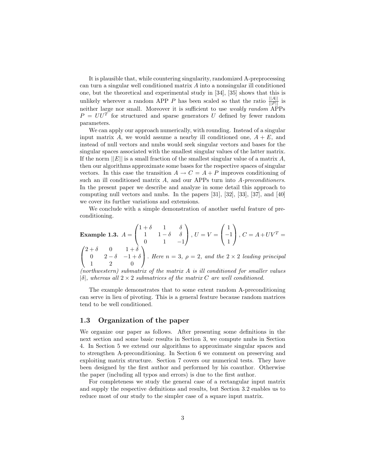It is plausible that, while countering singularity, randomized A-preprocessing can turn a singular well conditioned matrix A into a nonsingular ill conditioned one, but the theoretical and experimental study in [34], [35] shows that this is unlikely wherever a random APP P has been scaled so that the ratio  $\frac{||A||}{||P||}$  is neither large nor small. Moreover it is sufficient to use *weakly random* APPs  $P = U U^T$  for structured and sparse generators U defined by fewer random parameters.

We can apply our approach numerically, with rounding. Instead of a singular input matrix A, we would assume a nearby ill conditioned one,  $A + E$ , and instead of null vectors and nmbs would seek singular vectors and bases for the singular spaces associated with the smallest singular values of the latter matrix. If the norm  $||E||$  is a small fraction of the smallest singular value of a matrix A, then our algorithms approximate some bases for the respective spaces of singular vectors. In this case the transition  $A \to C = A + P$  improves conditioning of such an ill conditioned matrix A, and our APPs turn into *A-preconditioners*. In the present paper we describe and analyze in some detail this approach to computing null vectors and nmbs. In the papers [31], [32], [33], [37], and [40] we cover its further variations and extensions.

We conclude with a simple demonstration of another useful feature of preconditioning.

**Example 1.3.** 
$$
A = \begin{pmatrix} 1+\delta & 1 & \delta \\ 1 & 1-\delta & \delta \\ 0 & 1 & -1 \end{pmatrix}
$$
,  $U = V = \begin{pmatrix} 1 \\ -1 \\ 1 \end{pmatrix}$ ,  $C = A + UV^T = \begin{pmatrix} 2+\delta & 0 & 1+\delta \\ 0 & 2-\delta & -1+\delta \\ 1 & 2 & 0 \end{pmatrix}$ . Here  $n = 3$ ,  $\rho = 2$ , and the  $2 \times 2$  leading principal

*(northwestern) submatrix of the matrix* A *is ill conditioned for smaller values*  $|\delta|$ , whereas all  $2 \times 2$  *submatrices of the matrix* C are well conditioned.

The example demonstrates that to some extent random A-preconditioning can serve in lieu of pivoting. This is a general feature because random matrices tend to be well conditioned.

## **1.3 Organization of the paper**

We organize our paper as follows. After presenting some definitions in the next section and some basic results in Section 3, we compute nmbs in Section 4. In Section 5 we extend our algorithms to approximate singular spaces and to strengthen A-preconditioning. In Section 6 we comment on preserving and exploiting matrix structure. Section 7 covers our numerical tests. They have been designed by the first author and performed by his coauthor. Otherwise the paper (including all typos and errors) is due to the first author.

For completeness we study the general case of a rectangular input matrix and supply the respective definitions and results, but Section 3.2 enables us to reduce most of our study to the simpler case of a square input matrix.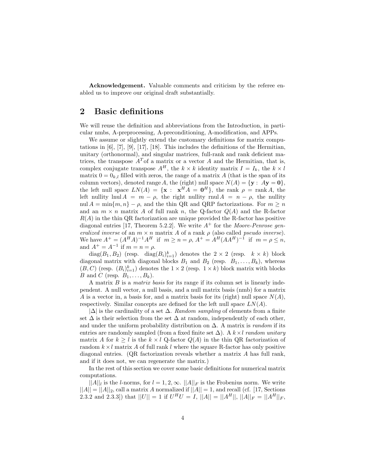**Acknowledgement.** Valuable comments and criticism by the referee enabled us to improve our original draft substantially.

# **2 Basic definitions**

We will reuse the definition and abbreviations from the Introduction, in particular nmbs, A-preprocessing, A-preconditioning, A-modification, and APPs.

We assume or slightly extend the customary definitions for matrix computations in [6], [7], [9], [17], [18]. This includes the definitions of the Hermitian, unitary (orthonormal), and singular matrices, full-rank and rank deficient matrices, the transpose  $A<sup>T</sup>$  of a matrix or a vector A and the Hermitian, that is, complex conjugate transpose  $A^H$ , the  $k \times k$  identity matrix  $I = I_k$ , the  $k \times l$ matrix  $0 = 0_{k,l}$  filled with zeros, the range of a matrix A (that is the span of its column vectors), denoted range A, the (right) null space  $N(A) = \{y : Ay = 0\}$ , the left null space  $LN(A) = {\mathbf{x} : \mathbf{x}^H A = \mathbf{0}^H}$ , the rank  $\rho = \text{rank } A$ , the left nullity lnul  $A = m - \rho$ , the right nullity rnul  $A = n - \rho$ , the nullity nul  $A = \min\{m, n\} - \rho$ , and the thin QR and QRP factorizations. For  $m \geq n$ and an  $m \times n$  matrix A of full rank n, the Q-factor  $Q(A)$  and the R-factor  $R(A)$  in the thin QR factorization are unique provided the R-factor has positive diagonal entries [17, Theorem 5.2.2]. We write  $A^+$  for the *Moore-Penrose generalized inverse* of an  $m \times n$  matrix A of a rank  $\rho$  (also called *pseudo inverse*). We have  $A^+ = (A^H A)^{-1} A^H$  if  $m \ge n = \rho$ ,  $A^+ = A^H (AA^H)^{-1}$  if  $m = \rho \le n$ , and  $A^+ = A^{-1}$  if  $m = n = \rho$ .

 $diag(B_1, B_2)$  (resp.  $diag(B_i)_{i=1}^k$ ) denotes the  $2 \times 2$  (resp.  $k \times k$ ) block diagonal matrix with diagonal blocks  $B_1$  and  $B_2$  (resp.  $B_1, \ldots, B_k$ ), whereas  $(B, C)$  (resp.  $(B_i)_{i=1}^k$ ) denotes the  $1 \times 2$  (resp.  $1 \times k$ ) block matrix with blocks B and C (resp.  $B_1, \ldots, B_k$ ).

A matrix B is a *matrix basis* for its range if its column set is linearly independent. A null vector, a null basis, and a null matrix basis (nmb) for a matrix A is a vector in, a basis for, and a matrix basis for its (right) null space  $N(A)$ , respectively. Similar concepts are defined for the left null space  $LN(A)$ .

|∆| is the cardinality of a set ∆. *Random sampling* of elements from a finite set  $\Delta$  is their selection from the set  $\Delta$  at random, independently of each other, and under the uniform probability distribution on ∆. A matrix is *random* if its entries are randomly sampled (from a fixed finite set ∆). A k×l *random unitary* matrix A for  $k \geq l$  is the  $k \times l$  Q-factor  $Q(A)$  in the thin QR factorization of random  $k \times l$  matrix A of full rank l where the square R-factor has only positive diagonal entries. (QR factorization reveals whether a matrix A has full rank, and if it does not, we can regenerate the matrix.)

In the rest of this section we cover some basic definitions for numerical matrix computations.

 $||A||_l$  is the l-norms, for  $l = 1, 2, \infty$ .  $||A||_F$  is the Frobenius norm. We write  $||A|| = ||A||_2$ , call a matrix A normalized if  $||A|| = 1$ , and recall (cf. [17, Sections] 2.3.2 and 2.3.3]) that  $||U|| = 1$  if  $U^H U = I$ ,  $||A|| = ||A^H||$ ,  $||A||_F = ||A^H||_F$ ,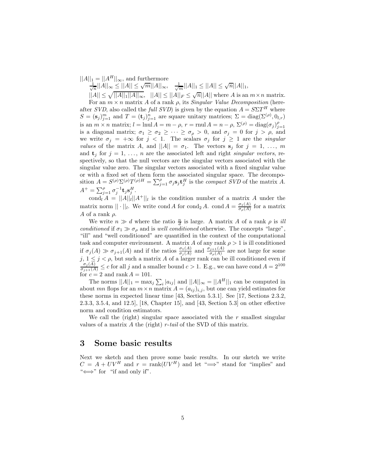$||A||_1 = ||A^H||_{\infty}$ , and furthermore

 $\frac{1}{\sqrt{n}}||A||_{\infty} \leq ||A|| \leq \sqrt{m}||A||_{\infty},$   $\frac{1}{\sqrt{m}}||A||_1 \leq ||A|| \leq \sqrt{n}||A||_1,$ 

 $||A|| \leq \sqrt{||A||_1||A||_{\infty}},$   $||A|| \leq ||A||_F \leq \sqrt{n}||A||$  where A is an  $m \times n$  matrix. For an  $m \times n$  matrix A of a rank  $\rho$ , its *Singular Value Decomposition* (hereafter *SVD*, also called the *full SVD*) is given by the equation  $A = S\Sigma T^H$  where  $S = (\mathbf{s}_j)_{i=1}^m$  and  $T = (\mathbf{t}_j)_{i=1}^n$  are square unitary matrices;  $\Sigma = \text{diag}(\Sigma^{(\rho)}, 0_{l,r})$ is an  $m \times n$  matrix;  $l = \text{lnul } A = m - \rho$ ,  $r = \text{rnul } A = n - \rho$ ,  $\Sigma^{(\rho)} = \text{diag}(\sigma_j)_{i=1}^{\rho}$ is a diagonal matrix;  $\sigma_1 \geq \sigma_2 \geq \cdots \geq \sigma_\rho > 0$ , and  $\sigma_j = 0$  for  $j > \rho$ , and we write  $\sigma_j = +\infty$  for  $j < 1$ . The scalars  $\sigma_j$  for  $j \geq 1$  are the *singular values* of the matrix A, and  $||A|| = \sigma_1$ . The vectors  $s_j$  for  $j = 1, \ldots, m$ and  $\mathbf{t}_j$  for  $j = 1, \ldots, n$  are the associated left and right *singular vectors*, respectively, so that the null vectors are the singular vectors associated with the singular value zero. The singular vectors associated with a fixed singular value or with a fixed set of them form the associated singular space. The decomposition  $A = S^{(\rho)} \Sigma^{(\rho)} T^{(\rho)H} = \sum_{i=1}^{\rho} \sigma_i s_i t_i^H$  is the *compact SVD* of the matrix A.  $A^+ = \sum_{i=1}^{\rho} \sigma_i^{-1} \mathbf{t}_j \mathbf{s}_i^H.$ 

cond<sub>l</sub>  $A = ||A||_l ||A^+||_l$  is the condition number of a matrix A under the matrix norm  $|| \cdot ||_l$ . We write cond A for cond<sub>2</sub> A. cond  $A = \frac{\sigma_1(A)}{\sigma_\rho(A)}$  for a matrix A of a rank  $\rho$ .

We write  $n \gg d$  where the ratio  $\frac{n}{d}$  is large. A matrix A of a rank  $\rho$  is *ill conditioned* if  $\sigma_1 \gg \sigma_\rho$  and is *well conditioned* otherwise. The concepts "large", "ill" and "well conditioned" are quantified in the context of the computational task and computer environment. A matrix A of any rank  $\rho > 1$  is ill conditioned if  $\sigma_j(A) \gg \sigma_{j+1}(A)$  and if the ratios  $\frac{\sigma_1(A)}{\sigma_j(A)}$  and  $\frac{\sigma_{j+1}(A)}{\sigma_\rho(A)}$  are not large for some  $j, 1 \leq j < \rho$ , but such a matrix A of a larger rank can be ill conditioned even if  $\sigma_j(A)$  is a for all *i* and a smaller bound  $g > 1$ . E.g., we see have send  $A = 2^{100}$  $\frac{\sigma_j(\overline{A})}{\sigma_{j+1}(\overline{A})} \leq c$  for all j and a smaller bound  $c > 1$ . E.g., we can have cond  $A = 2^{100}$ for  $c = 2$  and rank  $A = 101$ .

The norms  $||A||_1 = \max_j \sum_i |a_{ij}|$  and  $||A||_{\infty} = ||A^H||_1$  can be computed in about mn flops for an  $m \times n$  matrix  $A = (a_{ij})_{i,j}$ , but one can yield estimates for these norms in expected linear time [43, Section 5.3.1]. See [17, Sections 2.3.2, 2.3.3, 3.5.4, and 12.5], [18, Chapter 15], and [43, Section 5.3] on other effective norm and condition estimators.

We call the (right) singular space associated with the  $r$  smallest singular values of a matrix A the (right) r-*tail* of the SVD of this matrix.

## **3 Some basic results**

Next we sketch and then prove some basic results. In our sketch we write  $C = A + UV^H$  and  $r = \text{rank}(UV^H)$  and let " $\implies$ " stand for "implies" and " $\Longleftrightarrow$ " for "if and only if".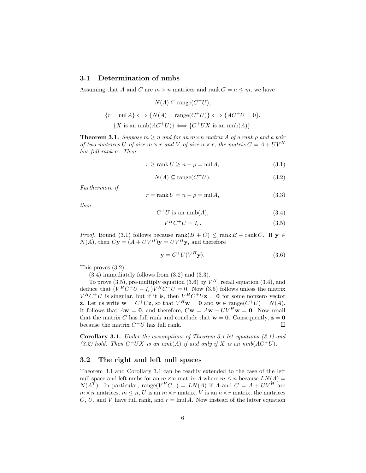## **3.1 Determination of nmbs**

Assuming that A and C are  $m \times n$  matrices and rank  $C = n \le m$ , we have

$$
N(A) \subseteq \text{range}(C^+U),
$$
  

$$
\{r = \text{null } A\} \Longleftrightarrow \{N(A) = \text{range}(C^+U)\} \Longleftrightarrow \{AC^+U = 0\},
$$
  

$$
\{X \text{ is an } \text{nnb}(AC^+U)\} \Longleftrightarrow \{C^+UX \text{ is an } \text{nnb}(A)\}.
$$

**Theorem 3.1.** *Suppose*  $m \ge n$  *and for an*  $m \times n$  *matrix* A *of a rank*  $\rho$  *and* a pair *of two matrices* U *of size*  $m \times r$  *and* V *of size*  $n \times r$ *, the matrix*  $C = A + UV^H$ *has full rank* n*. Then*

$$
r \ge \operatorname{rank} U \ge n - \rho = \operatorname{nil} A,\tag{3.1}
$$

$$
N(A) \subseteq \text{range}(C^+U). \tag{3.2}
$$

*Furthermore if*

$$
r = \text{rank } U = n - \rho = \text{null } A,\tag{3.3}
$$

*then*

$$
C^+U \text{ is an } \text{nmb}(A),\tag{3.4}
$$

$$
V^H C^+ U = I_r. \tag{3.5}
$$

*Proof.* Bound (3.1) follows because  $\text{rank}(B+C) \leq \text{rank }B + \text{rank }C$ . If  $y \in$  $N(A)$ , then  $C**y** = (A + UV<sup>H</sup>)**y** = UV<sup>H</sup>**y**$ , and therefore

$$
\mathbf{y} = C^+ U (V^H \mathbf{y}). \tag{3.6}
$$

This proves (3.2).

(3.4) immediately follows from (3.2) and (3.3).

To prove (3.5), pre-multiply equation (3.6) by  $V^H$ , recall equation (3.4), and deduce that  $(V^H C^+ U - I_r)V^H C^+ U = 0$ . Now (3.5) follows unless the matrix  $V^H C^+ U$  is singular, but if it is, then  $V^H C^+ U \mathbf{z} = \mathbf{0}$  for some nonzero vector **z**. Let us write  $\mathbf{w} = C^+U\mathbf{z}$ , so that  $V^H\mathbf{w} = \mathbf{0}$  and  $\mathbf{w} \in \text{range}(C^+U) = N(A)$ . It follows that  $A\mathbf{w} = \mathbf{0}$ , and therefore,  $C\mathbf{w} = A\mathbf{w} + UV^H\mathbf{w} = \mathbf{0}$ . Now recall that the matrix C has full rank and conclude that  $\mathbf{w} = \mathbf{0}$ . Consequently,  $\mathbf{z} = \mathbf{0}$ because the matrix  $C^+U$  has full rank.  $\Box$ 

**Corollary 3.1.** *Under the assumptions of Theorem 3.1 let equations (3.1) and* (3.2) hold. Then  $C^+UX$  *is an nmb*(A) *if and only if* X *is an nmb*( $AC^+U$ ).

## **3.2 The right and left null spaces**

Theorem 3.1 and Corollary 3.1 can be readily extended to the case of the left null space and left nmbs for an  $m \times n$  matrix A where  $m \leq n$  because  $LN(A)$  =  $N(A^T)$ . In particular, range( $V^H C^+$ ) =  $LN(A)$  if A and  $C = A + UV^H$  are  $m \times n$  matrices,  $m \leq n$ , U is an  $m \times r$  matrix, V is an  $n \times r$  matrix, the matrices C, U, and V have full rank, and  $r = \text{lnul } A$ . Now instead of the latter equation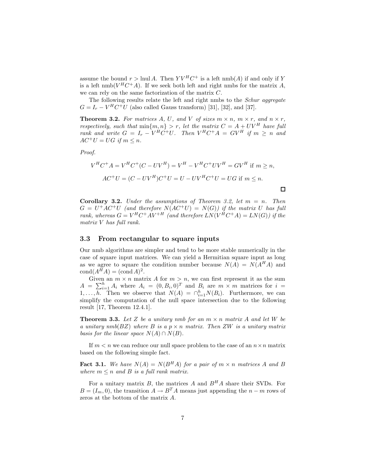assume the bound  $r > \text{lnul } A$ . Then  $Y V^H C^+$  is a left nmb(A) if and only if Y is a left  $\text{nmb}(V^H C^+ A)$ . If we seek both left and right nmbs for the matrix A, we can rely on the same factorization of the matrix C.

The following results relate the left and right nmbs to the *Schur aggregate*  $G = I_r - V^H C^+ U$  (also called Gauss transform) [31], [32], and [37].

**Theorem 3.2.** For matrices A, U, and V of sizes  $m \times n$ ,  $m \times r$ , and  $n \times r$ , *respectively, such that*  $\min\{m, n\} > r$ *, let the matrix*  $C = A + UV^H$  *have full rank and write*  $G = I_r - V^H C^+ U$ . Then  $V^H C^+ A = G V^H$  if  $m \geq n$  and  $AC^+U = UG$  *if*  $m \leq n$ .

*Proof.*

$$
V^{H}C^{+}A = V^{H}C^{+}(C - UV^{H}) = V^{H} - V^{H}C^{+}UV^{H} = GV^{H} \text{ if } m \ge n,
$$
  

$$
AC^{+}U = (C - UV^{H})C^{+}U = U - UV^{H}C^{+}U = UG \text{ if } m \le n.
$$

 $\Box$ 

**Corollary 3.2.** *Under the assumptions of Theorem 3.2, let* m = n*. Then*  $G = U^+AC^+U$  (and therefore  $N(AC^+U) = N(G)$ ) if the matrix U has full *rank, whereas*  $G = V^H C^+ A V^{+H}$  *(and therefore*  $LN(V^H C^+ A) = LN(G)$ *) if the matrix* V *has full rank.*

#### **3.3 From rectangular to square inputs**

Our nmb algorithms are simpler and tend to be more stable numerically in the case of square input matrices. We can yield a Hermitian square input as long as we agree to square the condition number because  $N(A) = N(A^H A)$  and  $\text{cond}(A^H A) = (\text{cond } A)^2$ .

Given an  $m \times n$  matrix A for  $m > n$ , we can first represent it as the sum  $A = \sum_{i=1}^{h} A_i$  where  $A_i = (0, B_i, 0)^T$  and  $B_i$  are  $m \times m$  matrices for  $i =$  $1,\ldots,\overline{h}$ . Then we observe that  $N(A) = \bigcap_{i=1}^{h} N(B_i)$ . Furthermore, we can simplify the computation of the null space intersection due to the following result [17, Theorem 12.4.1].

**Theorem 3.3.** Let Z be a unitary nmb for an  $m \times n$  matrix A and let W be *a unitary nmb*(BZ) *where* B *is a* p × n *matrix. Then* ZW *is a unitary matrix basis for the linear space*  $N(A) \cap N(B)$ *.* 

If  $m < n$  we can reduce our null space problem to the case of an  $n \times n$  matrix based on the following simple fact.

**Fact 3.1.** We have  $N(A) = N(B^H A)$  for a pair of  $m \times n$  matrices A and B *where*  $m \leq n$  *and*  $B$  *is a full rank matrix.* 

For a unitary matrix  $B$ , the matrices  $A$  and  $B<sup>H</sup>A$  share their SVDs. For  $B = (I_m, 0)$ , the transition  $A \to B^T A$  means just appending the  $n - m$  rows of zeros at the bottom of the matrix A.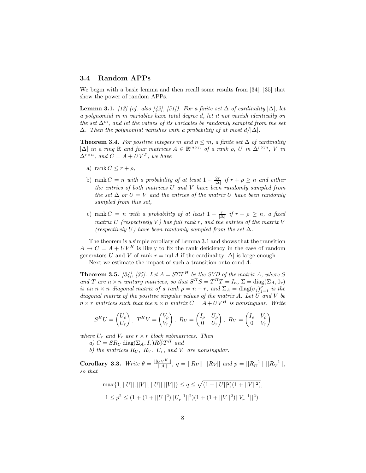## **3.4 Random APPs**

We begin with a basic lemma and then recall some results from [34], [35] that show the power of random APPs.

**Lemma 3.1.** *[13]* (*cf. also [42], [51]). For a finite set*  $\Delta$  *of cardinality*  $|\Delta|$ *, let a polynomial in* m *variables have total degree* d*, let it not vanish identically on the set*  $\Delta^m$ , and let the values of its variables be randomly sampled from the set ∆*. Then the polynomial vanishes with a probability of at most* d/|∆|*.*

**Theorem 3.4.** For positive integers m and  $n \leq m$ , a finite set  $\Delta$  of cardinality  $|\Delta|$  *in a ring* ℝ *and four matrices*  $A \in \mathbb{R}^{m \times n}$  *of a rank*  $\rho$ *, U in*  $\Delta^{r \times m}$ , V *in*  $\Delta^{r \times n}$ *, and*  $C = A + UV^T$ *, we have* 

- a) rank  $C \leq r + \rho$ ,
- b) rank  $C = n$  *with a probability of at least*  $1 \frac{2r}{|\Delta|}$  *if*  $r + \rho \geq n$  *and either the entries of both matrices* U *and* V *have been randomly sampled from the set*  $\Delta$  *or*  $U = V$  *and the entries of the matrix* U *have been randomly sampled from this set,*
- c) rank  $C = n$  *with a probability of at least*  $1 \frac{r}{|\Delta|}$  *if*  $r + \rho \geq n$ *, a fixed matrix* U (respectively V) has full rank r, and the entries of the matrix V *(respectively* U) have been randomly sampled from the set  $\Delta$ *.*

The theorem is a simple corollary of Lemma 3.1 and shows that the transition  $A \rightarrow C = A + UV^H$  is likely to fix the rank deficiency in the case of random generators U and V of rank  $r = \text{null } A$  if the cardinality  $|\Delta|$  is large enough. Next we estimate the impact of such a transition onto cond A.

**Theorem 3.5.** [34], [35]. Let  $A = S\Sigma T^H$  be the SVD of the matrix A, where S *and* T are  $n \times n$  *unitary matrices, so that*  $S^H S = T^H T = I_n$ ,  $\Sigma = \text{diag}(\Sigma_A, 0_r)$ *is an*  $n \times n$  *diagonal matrix of a rank*  $\rho = n - r$ *, and*  $\Sigma_A = \text{diag}(\sigma_j)_{i=1}^{\rho}$  *is the diagonal matrix of the positive singular values of the matrix* A*. Let* U *and* V *be*  $n \times r$  *matrices such that the*  $n \times n$  *matrix*  $C = A + UV^H$  *is nonsingular. Write* 

$$
S^{H}U = \begin{pmatrix} U_{\rho} \\ U_{r} \end{pmatrix}, T^{H}V = \begin{pmatrix} V_{\rho} \\ V_{r} \end{pmatrix}, R_{U} = \begin{pmatrix} I_{\rho} & U_{\rho} \\ 0 & U_{r} \end{pmatrix}, R_{V} = \begin{pmatrix} I_{\rho} & V_{\rho} \\ 0 & V_{r} \end{pmatrix}
$$

*where*  $U_r$  *and*  $V_r$  *are*  $r \times r$  *block submatrices. Then* 

*a)*  $C = SR_U \text{ diag}(\Sigma_A, I_r)R_V^H T^H$  *and* 

*b)* the matrices  $R_U$ ,  $R_V$ ,  $U_r$ , and  $V_r$  are nonsingular.

**Corollary 3.3.** *Write*  $\theta = \frac{||UV^H||}{||A||}$ ,  $q = ||R_U|| ||R_V||$  *and*  $p = ||R_U^{-1}|| ||R_V^{-1}||$ , *so that*

$$
\max\{1,||U||,||V||,||U|| ||V||\} \le q \le \sqrt{(1+||U||^2)(1+||V||^2)},
$$
  

$$
1 \le p^2 \le (1+(1+||U||^2)||U_r^{-1}||^2)(1+(1+||V||^2)||V_r^{-1}||^2).
$$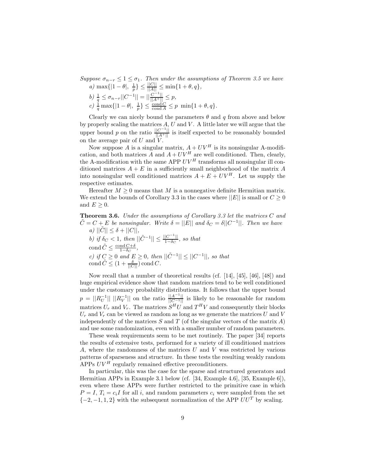*Suppose*  $\sigma_{n-r} \leq 1 \leq \sigma_1$ *. Then under the assumptions of Theorem 3.5 we have* 

*a*)  $\max\{|1-\theta|, \frac{1}{p}\}\leq \frac{||C||}{||A||} \leq \min\{1+\theta, q\},\$  $b) \frac{1}{q} \leq \sigma_{n-r} ||C^{-1}|| = ||\frac{C^{-1}||}{||A^+||} \leq p,$ c)  $\frac{1}{q} \max\{|1-\theta|, \frac{1}{p}\}\leq \frac{\text{cond}'C}{\text{cond }A}\leq p \min\{1+\theta, q\}.$ 

Clearly we can nicely bound the parameters  $\theta$  and q from above and below by properly scaling the matrices  $A, U$  and  $V$ . A little later we will argue that the upper bound p on the ratio  $\frac{||C^{-1}||}{||A^+||}$  is itself expected to be reasonably bounded on the average pair of  $U$  and  $V$ .

Now suppose A is a singular matrix,  $A + UV^H$  is its nonsingular A-modification, and both matrices  $\overrightarrow{A}$  and  $A + U\overrightarrow{V}^H$  are well conditioned. Then, clearly, the A-modification with the same APP  $UV^H$  transforms all nonsingular ill conditioned matrices  $A + E$  in a sufficiently small neighborhood of the matrix A into nonsingular well conditioned matrices  $A + E + UV^H$ . Let us supply the respective estimates.

Hereafter  $M \geq 0$  means that M is a nonnegative definite Hermitian matrix. We extend the bounds of Corollary 3.3 in the cases where  $||E||$  is small or  $C \geq 0$ and  $E \geq 0$ .

**Theorem 3.6.** *Under the assumptions of Corollary 3.3 let the matrices* C *and*  $\tilde{C} = C + E$  *be nonsingular. Write*  $\delta = ||E||$  *and*  $\delta_C = \delta ||C^{-1}||$ *. Then we have*  $|a\rangle$   $||\tilde{C}|| \leq \delta + ||C||$ ,

*b)* if  $\delta_C < 1$ , then  $||\tilde{C}^{-1}|| \le \frac{||C^{-1}||}{1-\delta_C}$ , so that cond  $\tilde{C} \leq \frac{\text{cond } C + \delta}{1 - \delta_C}$ , *c)* if  $C \ge 0$  and  $E \ge 0$ , then  $||\tilde{C}^{-1}|| \le ||C^{-1}||$ , so that  $\operatorname{cond} \tilde{C} \leq (1 + \frac{\delta}{\|C\|}) \operatorname{cond} C.$ 

Now recall that a number of theoretical results (cf. [14], [45], [46], [48]) and huge empirical evidence show that random matrices tend to be well conditioned under the customary probability distributions. It follows that the upper bound  $p = ||R_U^{-1}|| \, ||R_V^{-1}||$  on the ratio  $\frac{||A^{-1}||}{||C^{-1}||}$  is likely to be reasonable for random matrices  $U_r$  and  $V_r$ . The matrices  $S^H U$  and  $T^H V$  and consequently their blocks  $U_r$  and  $V_r$  can be viewed as random as long as we generate the matrices U and V independently of the matrices S and T (of the singular vectors of the matrix A) and use some randomization, even with a smaller number of random parameters.

These weak requirements seem to be met routinely. The paper [34] reports the results of extensive tests, performed for a variety of ill conditioned matrices A, where the randomness of the matrices  $U$  and  $V$  was restricted by various patterns of sparseness and structure. In these tests the resulting weakly random APPs  $UV<sup>H</sup>$  regularly remained effective preconditioners.

In particular, this was the case for the sparse and structured generators and Hermitian APPs in Example 3.1 below (cf. [34, Example 4.6], [35, Example 6]), even where these APPs were further restricted to the primitive case in which  $P = I$ ,  $T_i = c_i I$  for all i, and random parameters  $c_i$  were sampled from the set  $\{-2, -1, 1, 2\}$  with the subsequent normalization of the APP  $UU^T$  by scaling.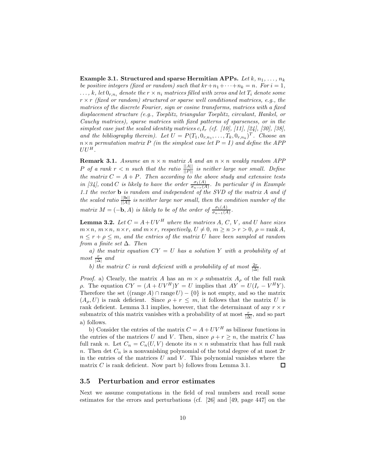**Example 3.1. Structured and sparse Hermitian APPs.** Let  $k, n_1, \ldots, n_k$ *be positive integers (fixed or random) such that*  $kr+n_1+\cdots+n_k = n$ *. For*  $i = 1$ *,*  $\dots, k$ , let  $0_{r,n_i}$  denote the  $r \times n_i$  matrices filled with zeros and let  $T_i$  denote some r × r *(fixed or random) structured or sparse well conditioned matrices, e.g., the matrices of the discrete Fourier, sign or cosine transforms, matrices with a fixed displacement structure (e.g., Toeplitz, triangular Toeplitz, circulant, Hankel, or Cauchy matrices), sparse matrices with fixed patterns of sparseness, or in the simplest case just the scaled identity matrices*  $c_iI_r$  *(cf. [10], [11], [24], [30], [38], and the bibliography therein). Let*  $U = P(T_1, 0_{r,n_1}, \ldots, T_k, 0_{r,n_k})^T$ . Choose an  $n \times n$  permutation matrix P (in the simplest case let  $P = I$ ) and define the APP  $UU^H$ .

**Remark 3.1.** *Assume an* n × n *matrix* A *and an* n × n *weakly random APP*  $P$  *of a rank*  $r < n$  *such that the ratio*  $\frac{\|A\|}{\|P\|}$  *is neither large nor small. Define the matrix*  $C = A + P$ *. Then according to the above study and extensive tests in [34],* cond *C is likely to have the order*  $\frac{\sigma_1(A)}{\sigma_{n-r}(A)}$ . In particular if in Example *1.1 the vector* **b** *is random and independent of the SVD of the matrix* A *and if the scaled ratio*  $\frac{\|\mathbf{b}\|}{\|A\|}$  *is neither large nor small, then the condition number of the matrix*  $M = (-\mathbf{b}, A)$  *is likely to be of the order of*  $\frac{\sigma_1(A)}{\sigma_{n-1}(A)}$ *.* 

**Lemma 3.2.** *Let*  $C = A + UV^H$  *where the matrices*  $A, C, V$ *, and*  $U$  *have sizes*  $m \times n$ ,  $m \times n$ ,  $n \times r$ , and  $m \times r$ , respectively,  $U \neq 0$ ,  $m \geq n > r > 0$ ,  $\rho = \text{rank } A$ ,  $n \leq r + \rho \leq m$ , and the entries of the matrix U have been sampled at random *from a finite set* ∆*. Then*

*a) the matrix equation* CY = U *has a solution* Y *with a probability of at*  $most \frac{r}{|\Delta|}$  *and* 

*b*) the matrix C is rank deficient with a probability of at most  $\frac{2r}{|\Delta|}$ .

*Proof.* a) Clearly, the matrix A has an  $m \times \rho$  submatrix  $A_{\rho}$  of the full rank *ρ*. The equation  $CY = (A + UV^H)Y = U$  implies that  $AY = U(I_r - V^H Y)$ . Therefore the set  $((\text{range } A) \cap \text{range } U) - \{0\}$  is not empty, and so the matrix  $(A_{\rho}, U)$  is rank deficient. Since  $\rho + r \leq m$ , it follows that the matrix U is rank deficient. Lemma 3.1 implies, however, that the determinant of any  $r \times r$ submatrix of this matrix vanishes with a probability of at most  $\frac{r}{|\Delta|}$ , and so part a) follows.

b) Consider the entries of the matrix  $C = A + UV^H$  as bilinear functions in the entries of the matrices U and V. Then, since  $\rho + r \geq n$ , the matrix C has full rank n. Let  $C_n = C_n(U, V)$  denote its  $n \times n$  submatrix that has full rank n. Then det  $C_n$  is a nonvanishing polynomial of the total degree of at most  $2r$ in the entries of the matrices  $U$  and  $V$ . This polynomial vanishes where the matrix  $C$  is rank deficient. Now part b) follows from Lemma 3.1. 口

#### **3.5 Perturbation and error estimates**

Next we assume computations in the field of real numbers and recall some estimates for the errors and perturbations (cf. [26] and [49, page 447] on the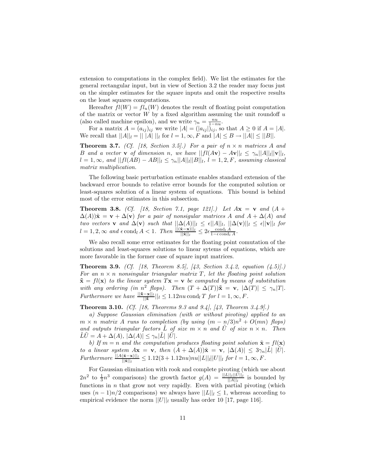extension to computations in the complex field). We list the estimates for the general rectangular input, but in view of Section 3.2 the reader may focus just on the simpler estimates for the square inputs and omit the respective results on the least squares computations.

Hereafter  $fl(W) = fl_u(W)$  denotes the result of floating point computation of the matrix or vector  $W$  by a fixed algorithm assuming the unit roundoff  $u$ (also called machine epsilon), and we write  $\gamma_n = \frac{nu}{1-nu}$ .

For a matrix  $A = (a_{ij})_{ij}$  we write  $|A| = (|a_{ij}|)_{ij}$ , so that  $A \ge 0$  if  $A = |A|$ . We recall that  $||A||_l = || |A|| ||_l$  for  $l = 1, \infty, F$  and  $||A|| \leq B \rightarrow ||A|| \leq ||B||.$ 

**Theorem 3.7.** *(Cf. [18, Section 3.5].) For a pair of*  $n \times n$  *matrices* A *and* B and a vector **v** of dimension n, we have  $||fl(Av) - Av||_l \leq \gamma_n ||A||_l ||v||_l$ ,  $l = 1, ∞$ *, and*  $||fl(AB) - AB||_l ≤ γ_n||A||_l||B||_l$ ,  $l = 1, 2, F$ *, assuming classical matrix multiplication.*

The following basic perturbation estimate enables standard extension of the backward error bounds to relative error bounds for the computed solution or least-squares solution of a linear system of equations. This bound is behind most of the error estimates in this subsection.

**Theorem 3.8.** *(Cf. [18, Section 7.1, page 121].) Let*  $A$ **x** = **v** *and*  $(A +$  $\Delta(A)$ ) $\tilde{\mathbf{x}} = \mathbf{v} + \Delta(\mathbf{v})$  *for a pair of nonsigular matrices* A *and*  $A + \Delta(A)$  *and two vectors* **v** *and*  $\Delta$ (**v**) *such that*  $||\Delta(A)||_l \leq \epsilon ||A||_l$ ,  $||\Delta(\mathbf{v})||_l \leq \epsilon ||\mathbf{v}||_l$  *for*  $l = 1, 2, \infty$  and  $\epsilon$  cond<sub>l</sub>  $A < 1$ . Then  $\frac{||(\tilde{\mathbf{x}} - \mathbf{x})||_l}{||\tilde{\mathbf{x}}||_l} \leq 2\epsilon \frac{\text{cond}_l A}{1 - \epsilon \text{cond}_l A}$ .

We also recall some error estimates for the floating point comutation of the solutions and least-squares solutions to linear sytems of equations, which are more favorable in the former case of square input matrices.

**Theorem 3.9.** *(Cf. [18, Theorem 8.5], [43, Section 3.4.2, equation (4.5)].)* For an  $n \times n$  *nonsingular triangular matrix* T, let the floating point solution  $\tilde{\mathbf{x}} = fl(\mathbf{x})$  *to the linear system*  $T\mathbf{x} = \mathbf{v}$  *be computed by means of substitution* with any ordering (in  $n^2$  *flops).* Then  $(T + \Delta(T))\tilde{\mathbf{x}} = \mathbf{v}$ ,  $|\Delta(T)| \leq \gamma_n |T|$ *. Furthermore we have*  $\frac{||\tilde{\mathbf{x}} - \mathbf{x}||_l}{||\tilde{\mathbf{x}}||_l} \leq 1.12nu \, \text{cond}_l T$  *for*  $l = 1, \infty, F$ .

**Theorem 3.10.** *(Cf. [18, Theorems 9.3 and 9.4], [43, Theorem 3.4.9].)*

*a) Suppose Gaussian elimination (with or without pivoting) applied to an*  $m \times n$  *matrix* A *runs to completion (by using*  $(m - n/3)n^2 + O(mn)$  *flops)* and outputs triangular factors  $\tilde{L}$  of size  $m \times n$  and  $\tilde{U}$  of size  $n \times n$ . Then  $\tilde{L}\tilde{U} = A + \Delta(A), |\Delta(A)| \leq \gamma_n |\tilde{L}| |\tilde{U}|.$ 

*b)* If  $m = n$  and the computation produces floating point solution  $\tilde{\mathbf{x}} = fl(\mathbf{x})$ *to a linear system*  $A$ **x** = **v***, then*  $(A + \Delta(A))\tilde{\mathbf{x}} = \mathbf{v}$ *,*  $|\Delta(A)| \leq 3\gamma_n|\tilde{L}| |\tilde{U}|$ *.*  $Furthermore$   $\frac{||A(\mathbf{x}-\mathbf{x})||_l}{||\mathbf{x}||_l} \leq 1.12(3+1.12nu)nu||L||_l||U||_l$  *for*  $l = 1, \infty, F$ .

For Gaussian elimination with rook and complete pivoting (which use about  $2n^2$  to  $\frac{1}{3}n^3$  comparisons) the growth factor  $g(A) = \frac{||L|| ||U|| ||\tilde{L}}{||A||_{L}}$  is bounded by functions in  $n$  that grow not very rapidly. Even with partial pivoting (which uses  $(n-1)n/2$  comparisons) we always have  $||L||_l \leq 1$ , whereas according to empirical evidence the norm  $||U||_l$  usually has order 10 [17, page 116].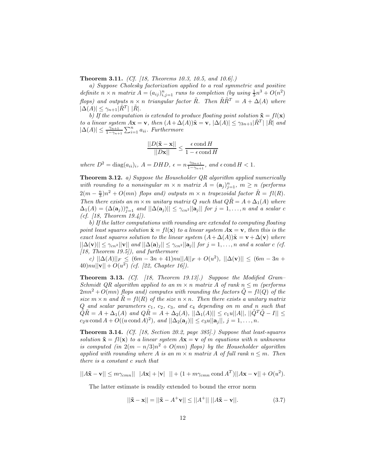**Theorem 3.11.** *(Cf. [18, Theorems 10.3, 10.5, and 10.6].)*

*a) Suppose Cholesky factorization applied to a real symmetric and positive definite*  $n \times n$  *matrix*  $\vec{A} = (a_{ij})_{i,j=1}^n$  *runs to completion (by using*  $\frac{1}{3}n^3 + O(n^2)$ ) *flops)* and outputs  $n \times n$  *triangular factor*  $\tilde{R}$ *. Then*  $\tilde{R}\tilde{R}^T = A + \Delta(A)$  *where*  $|\Delta(A)| \leq \gamma_{n+1} |R^T| |\dot{R}|.$ 

*b)* If the computation is extended to produce floating point solution  $\tilde{\mathbf{x}} = f l(\mathbf{x})$ *to a linear system*  $A$ **x** = **v***, then*  $(A + \Delta(A))\tilde{\mathbf{x}} = \mathbf{v}$ *,*  $|\Delta(A)| \leq \gamma_{3n+1} |\tilde{R}^{T}| |\tilde{R}|$  *and*  $|\Delta(A)| \leq \frac{\gamma_{n+1}}{1-\gamma_{n+1}} \sum_{i=1}^n a_{ii}$ . Furthermore

$$
\frac{||D(\mathbf{\tilde{x}} - \mathbf{x})||}{||D\mathbf{x}||} \le \frac{\epsilon \operatorname{cond} H}{1 - \epsilon \operatorname{cond} H}
$$

 $where D<sup>2</sup> = diag(a_{ii})<sub>i</sub>, A = DHD, \epsilon = n\frac{\gamma_{3n+1}}{1-\gamma_{n+1}}, and \epsilon \text{cond } H < 1.$ 

**Theorem 3.12.** *a) Suppose the Householder QR algorithm applied numerically* with rounding to a nonsingular  $m \times n$  matrix  $A = (\mathbf{a}_j)_{i=1}^n$ ,  $m \geq n$  (performs  $2(m - \frac{n}{3})n^2 + O(mn)$  *flops and) outputs*  $m \times n$  *trapezoidal factor*  $\tilde{R} = fl(R)$ *. Then there exists an*  $m \times m$  *unitary matrix* Q *such that*  $Q\tilde{R} = A + \Delta_1(A)$  *where*  $\Delta_1(A) = (\Delta(\mathbf{a}_j))_{j=1}^n$  and  $||\Delta(\mathbf{a}_j)|| \leq \gamma_{cn^2} ||\mathbf{a}_j||$  for  $j = 1, \ldots, n$  and a scalar c *(cf. [18, Theorem 19.4]).*

*b) If the latter computations with rounding are extended to computing floating point least squares solution*  $\tilde{\mathbf{x}} = fl(\mathbf{x})$  *to a linear system*  $A\mathbf{x} = \mathbf{v}$ *, then this is the exact least squares solution to the linear system*  $(A + \Delta(A))\tilde{\mathbf{x}} = \mathbf{v} + \Delta(\mathbf{v})$  *where*  $||\Delta(\mathbf{v})|| \leq \gamma_{cn^2} ||\mathbf{v}||$  and  $||\Delta(\mathbf{a})_j|| \leq \gamma_{cn^2} ||\mathbf{a}_j||$  for  $j = 1, \ldots, n$  and a scalar c *(cf.*) *[18, Theorem 19.5]), and furthermore*

*c*)  $||\Delta(A)||_F$  ≤  $(6m - 3n + 41)nu||A||_F$  +  $O(u^2)$ ,  $||\Delta(v)||$  ≤  $(6m - 3n +$  $40\|u\| ||\mathbf{v}|| + O(u^2)$  *(cf. [22, Chapter 16]).* 

**Theorem 3.13.** *(Cf. [18, Theorem 19.13].) Suppose the Modified Gram– Schmidt QR algorithm applied to an*  $m \times n$  *matrix* A *of rank*  $n \leq m$  *(performs*)  $2mn^2 + O(mn)$  *flops and) computes with rounding the factors*  $\tilde{Q} = fl(Q)$  *of the size*  $m \times n$  *and*  $\tilde{R} = fl(R)$  *of the size*  $n \times n$ *. Then there exists a unitary matrix* Q *and scalar parameters* c1*,* c2*,* c3*, and* c<sup>4</sup> *depending on* m *and* n *such that*  $\tilde{Q}\tilde{R} = A + \Delta_1(A)$  and  $Q\tilde{R} = A + \Delta_2(A)$ ,  $||\Delta_1(A)|| \leq c_1u||A||$ ,  $||Q^TQ - I|| \leq$  $c_2u \text{ cond } A + O((u \text{ cond } A)^2)$ *, and*  $||\Delta_2(\mathbf{a}_j)|| \leq c_3u||\mathbf{a}_j||$ *, j* = 1*,...,n.* 

**Theorem 3.14.** *(Cf. [18, Section 20.2, page 385].) Suppose that least-squares solution*  $\tilde{\mathbf{x}} = fl(\mathbf{x})$  *to a linear system*  $A\mathbf{x} = \mathbf{v}$  *of* m *equations with* n *unknowns is computed (in*  $2(m - n/3)n^2 + O(mn)$  *flops)* by the Householder algorithm *applied with rounding where* A *is an*  $m \times n$  *matrix* A *of full rank*  $n \leq m$ *. Then there is a constant* c *such that*

$$
||A\tilde{\mathbf{x}} - \mathbf{v}|| \le m\gamma_{cmn}|| \quad |A\mathbf{x}| + |\mathbf{v}| \quad || + (1 + m\gamma_{cmn} \text{ cond } A^T)||A\mathbf{x} - \mathbf{v}|| + O(u^2).
$$

The latter estimate is readily extended to bound the error norm

$$
||\tilde{\mathbf{x}} - \mathbf{x}|| = ||\tilde{\mathbf{x}} - A^{+}\mathbf{v}|| \le ||A^{+}|| \, ||A\tilde{\mathbf{x}} - \mathbf{v}||. \tag{3.7}
$$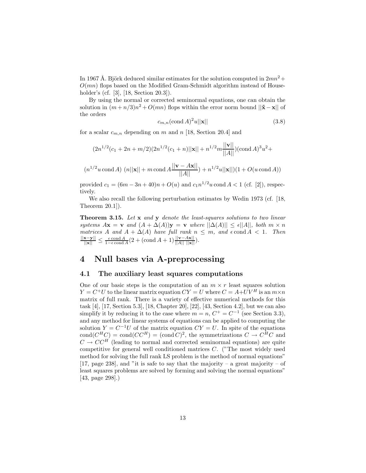In 1967 Å. Björk deduced similar estimates for the solution computed in  $2mn^2 +$  $O(mn)$  flops based on the Modified Gram-Schmidt algorithm instead of Householder's (cf. [3], [18, Section 20.3]).

By using the normal or corrected seminormal equations, one can obtain the solution in  $(m + n/3)n^2 + O(mn)$  flops within the error norm bound  $||\mathbf{\tilde{x}} - \mathbf{x}||$  of the orders

$$
c_{m,n}(\text{cond }A)^2u||\mathbf{x}||\tag{3.8}
$$

for a scalar  $c_{m,n}$  depending on m and n [18, Section 20.4] and

$$
(2n^{1/2}(c_1 + 2n + m/2)(2n^{1/2}(c_1 + n)||\mathbf{x}|| + n^{1/2}m\frac{||\mathbf{v}||}{||A||})(\text{cond }A)^3u^2 +
$$

$$
(n^{1/2}u \text{ cond } A) \ (n||\mathbf{x}|| + m \text{ cond } A \frac{||\mathbf{v} - A\mathbf{x}||}{||A||} + n^{1/2}u||\mathbf{x}||)(1 + O(u \text{ cond } A))
$$

provided  $c_1 = (6m - 3n + 40)n + O(u)$  and  $c_1n^{1/2}u$  cond  $A < 1$  (cf. [2]), respectively.

We also recall the following perturbation estimates by Wedin 1973 (cf. [18, Theorem 20.1]).

**Theorem 3.15.** *Let* **x** *and* **y** *denote the least-squares solutions to two linear systems*  $A\mathbf{x} = \mathbf{v}$  *and*  $(A + \Delta(A))\mathbf{y} = \mathbf{v}$  *where*  $||\Delta(A)|| \le \epsilon ||A||$ *, both*  $m \times n$ *matrices* A and  $A + \Delta(A)$  *have full rank*  $n \leq m$ *, and*  $\epsilon$  cond  $A < 1$ *. Then*  $\frac{||\mathbf{x} - \mathbf{y}||}{||\mathbf{x}||}$  ≤  $\frac{\epsilon \text{ cond } A}{1 - \epsilon \text{ cond } A}$  (2 + (cond A + 1)  $\frac{||\mathbf{v} - A\mathbf{x}||}{||A|| ||\mathbf{x}||}$ )*.* 

## **4 Null bases via A-preprocessing**

#### **4.1 The auxiliary least squares computations**

One of our basic steps is the computation of an  $m \times r$  least squares solution  $Y = C^+U$  to the linear matrix equation  $CY = U$  where  $C = A+UV^H$  is an  $m \times n$ matrix of full rank. There is a variety of effective numerical methods for this task [4], [17, Section 5.3], [18, Chapter 20], [22], [43, Section 4.2], but we can also simplify it by reducing it to the case where  $m = n$ ,  $C^+ = C^{-1}$  (see Section 3.3), and any method for linear systems of equations can be applied to computing the solution  $Y = C^{-1}U$  of the matrix equation  $CY = U$ . In spite of the equations cond $(C^HC) = \text{cond}(CC^H) = (\text{cond } C)^2$ , the symmetrizations  $C \to C^HC$  and  $C \rightarrow C C^{H}$  (leading to normal and corrected seminormal equations) are quite competitive for general well conditioned matrices  $C$ . ("The most widely used method for solving the full rank LS problem is the method of normal equations" [17, page 238], and "it is safe to say that the majority – a great majority – of least squares problems are solved by forming and solving the normal equations" [43, page 298].)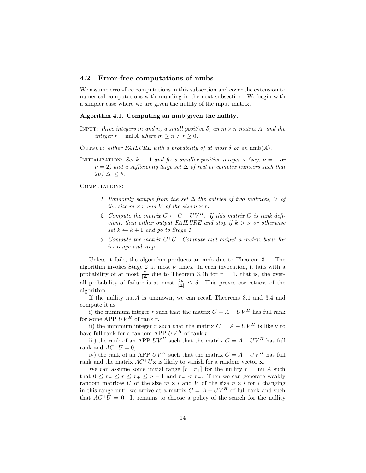#### **4.2 Error-free computations of nmbs**

We assume error-free computations in this subsection and cover the extension to numerical computations with rounding in the next subsection. We begin with a simpler case where we are given the nullity of the input matrix.

#### **Algorithm 4.1. Computing an nmb given the nullity***.*

- INPUT: *three integers* m *and* n, a small positive  $\delta$ , an  $m \times n$  matrix A, and the *integer*  $r = \text{null } A$  *where*  $m \geq n > r \geq 0$ *.*
- OUTPUT: *either FAILURE with a probability of at most*  $\delta$  *or an* nmb(A).
- INITIALIZATION: *Set*  $k \leftarrow 1$  *and fix a smaller positive integer*  $\nu$  *(say,*  $\nu = 1$  *or*  $\nu = 2$ *)* and a sufficiently large set  $\Delta$  of real or complex numbers such that  $2\nu/|\Delta| \leq \delta$ .

COMPUTATIONS:

- *1. Randomly sample from the set* ∆ *the entries of two matrices,* U *of the size*  $m \times r$  *and*  $V$  *of the size*  $n \times r$ *.*
- 2. Compute the matrix  $C \leftarrow C + UV^H$ . If this matrix C is rank defi*cient, then either output FAILURE and stop if*  $k > v$  *or otherwise set*  $k \leftarrow k+1$  *and go to Stage 1.*
- *3. Compute the matrix* C<sup>+</sup>U*. Compute and output a matrix basis for its range and stop.*

Unless it fails, the algorithm produces an nmb due to Theorem 3.1. The algorithm invokes Stage 2 at most  $\nu$  times. In each invocation, it fails with a probability of at most  $\frac{2}{|\Delta|}$  due to Theorem 3.4b for  $r = 1$ , that is, the overall probability of failure is at most  $\frac{2\nu}{|\Delta|} \leq \delta$ . This proves correctness of the algorithm.

If the nullity nul  $A$  is unknown, we can recall Theorems 3.1 and 3.4 and compute it as

i) the minimum integer r such that the matrix  $C = A + UV^H$  has full rank for some APP  $UV^H$  of rank r,

ii) the minimum integer r such that the matrix  $C = A + UV^H$  is likely to have full rank for a random APP  $UV^H$  of rank r,

iii) the rank of an APP  $UV^H$  such that the matrix  $C = A + UV^H$  has full rank and  $AC^+U = 0$ ,

iv) the rank of an APP  $UV^H$  such that the matrix  $C = A + UV^H$  has full rank and the matrix  $AC^+U\mathbf{x}$  is likely to vanish for a random vector **x**.

We can assume some initial range  $[r_-, r_+]$  for the nullity  $r = \text{null } A$  such that  $0 \leq r_{-} \leq r \leq r_{+} \leq n-1$  and  $r_{-} < r_{+}$ . Then we can generate weakly random matrices U of the size  $m \times i$  and V of the size  $n \times i$  for i changing in this range until we arrive at a matrix  $C = A + UV^H$  of full rank and such that  $AC^+U = 0$ . It remains to choose a policy of the search for the nullity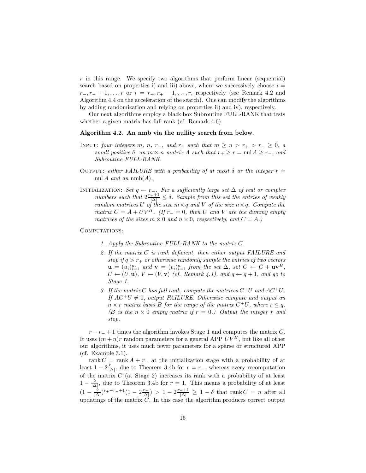$r$  in this range. We specify two algorithms that perform linear (sequential) search based on properties i) and iii) above, where we successively choose  $i =$  $r_-, r_- + 1, \ldots, r$  or  $i = r_+, r_+ - 1, \ldots, r$ , respectively (see Remark 4.2 and Algorithm 4.4 on the acceleration of the search). One can modify the algorithms by adding randomization and relying on properties ii) and iv), respectively.

Our next algorithms employ a black box Subroutine FULL·RANK that tests whether a given matrix has full rank (cf. Remark 4.6).

#### **Algorithm 4.2. An nmb via the nullity search from below.**

- INPUT: *four integers* m, n, r<sub>−</sub>, and r<sub>+</sub> such that  $m \ge n > r_+ > r_- \ge 0$ , a *small positive*  $\delta$ *, an*  $m \times n$  *matrix* A *such that*  $r_{+} \geq r = \text{null } A \geq r_{-}$ *, and Subroutine FULL*·*RANK.*
- OUTPUT: *either FAILURE with a probability of at most*  $\delta$  *or the integer*  $r =$ nul  $A$  *and an* nmb $(A)$ *.*
- $\text{INTIALIZATION:}$  *Set*  $q \leftarrow r_-\text{.}$  *Fix a sufficiently large set*  $\Delta$  *of real or complex numbers such that*  $2\frac{r_++1}{|\Delta|} \leq \delta$ *. Sample from this set the entries of weakly random matrices* U *of the size*  $m \times q$  *and* V *of the size*  $n \times q$ *. Compute the matrix*  $C = A + UV^H$ *.* (If  $r_ = 0$ *, then* U and V are the dummy empty *matrices of the sizes*  $m \times 0$  *and*  $n \times 0$ *, respectively, and*  $C = A$ *.*)

#### COMPUTATIONS:

- *1. Apply the Subroutine FULL*·*RANK to the matrix* C*.*
- *2. If the matrix* C *is rank deficient, then either output FAILURE and stop if*  $q > r_+$  *or otherwise randomly sample the entries of two vectors*  $\mathbf{u} = (u_i)_{i=1}^m$  and  $\mathbf{v} = (v_i)_{i=1}^n$  from the set  $\Delta$ *, set*  $C \leftarrow C + \mathbf{u}\mathbf{v}^H$ *,*  $U \leftarrow (U, \mathbf{u}), V \leftarrow (V, \mathbf{v})$  *(cf. Remark 4.1), and*  $q \leftarrow q+1$ *, and go to Stage 1.*
- *3. If the matrix* C *has full rank, compute the matrices* C<sup>+</sup>U *and* AC<sup>+</sup>U*.* If  $AC^+U \neq 0$ , output FAILURE. Otherwise compute and output an  $n \times r$  *matrix basis* B *for the range of the matrix*  $C^+U$ *, where*  $r \leq q$ *. (B is the*  $n \times 0$  *empty matrix if*  $r = 0$ *.) Output the integer* r *and stop.*

 $r - r_{-} + 1$  times the algorithm invokes Stage 1 and computes the matrix C. It uses  $(m+n)r$  random parameters for a general APP  $UV^H$ , but like all other our algorithms, it uses much fewer parameters for a sparse or structured APP (cf. Example 3.1).

rank  $C = \text{rank } A + r_-$  at the initialization stage with a probability of at least  $1 - 2\frac{r_+}{|\Delta|}$ , due to Theorem 3.4b for  $r = r_-$ , whereas every recomputation of the matrix C (at Stage 2) increases its rank with a probability of at least  $1 - \frac{2}{|\Delta|}$ , due to Theorem 3.4b for  $r = 1$ . This means a probability of at least  $(1 - \frac{2}{|\Delta|})^{r_+ - r_- + 1} (1 - 2\frac{r_-}{|\Delta|}) > 1 - 2\frac{r_+ + 1}{|\Delta|} \ge 1 - \delta$  that rank  $C = n$  after all updatings of the matrix  $C$ . In this case the algorithm produces correct output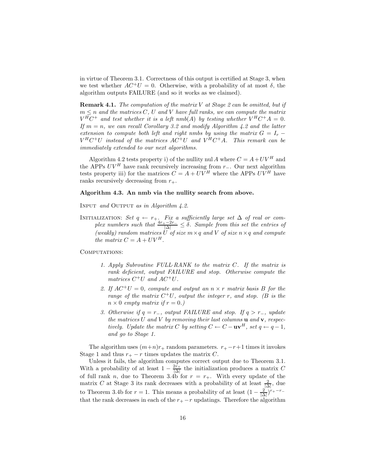in virtue of Theorem 3.1. Correctness of this output is certified at Stage 3, when we test whether  $AC^+U = 0$ . Otherwise, with a probability of at most  $\delta$ , the algorithm outputs FAILURE (and so it works as we claimed).

**Remark 4.1.** *The computation of the matrix* V *at Stage 2 can be omitted, but if*  $m \leq n$  *and the matrices* C, U *and* V *have full ranks, we can compute the matrix*  $V^H C^+$  and test whether it is a left nmb(A) by testing whether  $V^H C^+ A = 0$ . *If*  $m = n$ , we can recall Corollary 3.2 and modify Algorithm 4.2 and the latter *extension to compute both left and right nmbs by using the matrix*  $G = I_r V^H C^+ U$  instead of the matrices  $AC^+ U$  and  $V^H C^+ A$ . This remark can be *immediately extended to our next algorithms.*

Algorithm 4.2 tests property i) of the nullity nul A where  $C = A + UV^H$  and the APPs  $UV^H$  have rank recursively increasing from r<sub>−</sub>. Our next algorithm tests property iii) for the matrices  $C = A + UV^H$  where the APPs  $UV^H$  have ranks recursively decreasing from  $r_{+}$ .

#### **Algorithm 4.3. An nmb via the nullity search from above.**

Input *and* Output *as in Algorithm 4.2.*

INITIALIZATION: *Set*  $q$  ←  $r_+$ *. Fix a sufficiently large set*  $\Delta$  *of real or complex numbers such that*  $\frac{4r_+ - 2r_-}{|\Delta|} \leq \delta$ *. Sample from this set the entries of (weakly)* random matrices U of size  $m \times q$  and V of size  $n \times q$  and compute *the matrix*  $C = A + UV^H$ .

#### COMPUTATIONS:

- *1. Apply Subroutine FULL*·*RANK to the matrix* C*. If the matrix is rank deficient, output FAILURE and stop. Otherwise compute the matrices*  $C^+U$  *and*  $AC^+U$ *.*
- 2. If  $AC^+U = 0$ , compute and output an  $n \times r$  matrix basis B for the *range of the matrix*  $C^+U$ *, output the integer r, and stop. (B is the*  $n \times 0$  *empty matrix if*  $r = 0$ *.*)
- *3. Otherwise if*  $q = r_−$ *, output FAILURE and stop. If*  $q > r_−$ *, update the matrices* U *and* V *by removing their last columns* **u** *and* **v***, respectively. Update the matrix* C *by setting*  $C \leftarrow C - \mathbf{u} \mathbf{v}^H$ *, set*  $q \leftarrow q - 1$ *, and go to Stage 1.*

The algorithm uses  $(m+n)r_+$  random parameters.  $r_+ - r + 1$  times it invokes Stage 1 and thus  $r_{+} - r$  times updates the matrix C.

Unless it fails, the algorithm computes correct output due to Theorem 3.1. With a probability of at least  $1 - \frac{2r_+}{|\Delta|}$  the initialization produces a matrix C of full rank n, due to Theorem 3.4b for  $r = r_{+}$ . With every update of the matrix C at Stage 3 its rank decreases with a probability of at least  $\frac{2}{|\Delta|}$ , due to Theorem 3.4b for  $r = 1$ . This means a probability of at least  $(1 - \frac{2}{|\Delta|})^{r_+ - r_-}$ that the rank decreases in each of the  $r_{+} - r$  updatings. Therefore the algorithm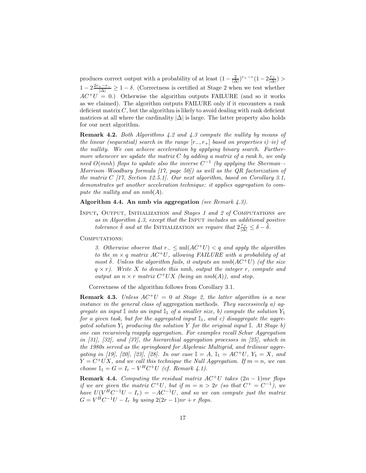produces correct output with a probability of at least  $(1 - \frac{2}{|\Delta|})^{r_+ - r} (1 - 2\frac{r_+}{|\Delta|}) >$  $1-2\frac{2r_+-r_-}{|\Delta|}$  ≥ 1 − δ. (Correctness is certified at Stage 2 when we test whether  $AC^{+}U = 0$ .) Otherwise the algorithm outputs FAILURE (and so it works as we claimed). The algorithm outputs FAILURE only if it encounters a rank deficient matrix  $C$ , but the algorithm is likely to avoid dealing with rank deficient matrices at all where the cardinality  $|\Delta|$  is large. The latter property also holds for our next algorithm.

**Remark 4.2.** *Both Algorithms 4.2 and 4.3 compute the nullity by means of the linear (sequential) search in the range*  $[r_-, r_+]$  *based on properties i)–iv) of the nullity. We can achieve acceleration by applying binary search. Furthermore whenever we update the matrix* C *by adding a matrix of a rank* h*, we only need* O(mnh) *flops to update also the inverse* C−<sup>1</sup> *(by applying the Sherman–- Morrison–Woodbury formula [17, page 50]) as well as the QR factorization of the matrix* C *[17, Section 12.5.1]. Our next algorithm, based on Corollary 3.1, demonstrates yet another acceleration technique: it applies aggregation to compute the nullity and an*  $nmb(A)$ *.* 

**Algorithm 4.4. An nmb via aggregation** *(see Remark 4.3).*

Input**,** Output*,* Initialization *and Stages 1 and 2 of* Computations *are as in Algorithm 4.3, except that the* Input *includes an additional positive*  $\alpha$  *tolerance*  $\delta$  *and at the* INITIALIZATION *we require that*  $2\frac{r_+}{|\Delta|} \leq \delta - \delta$ .

COMPUTATIONS:

*3. Otherwise observe that* <sup>r</sup><sup>−</sup> <sup>≤</sup> nul(AC<sup>+</sup>U) < q *and apply the algorithm to the*  $m \times q$  matrix  $AC^+U$ , allowing FAILURE with a probability of at *most*  $\delta$ *. Unless the algorithm fails, it outputs an nmb* $(AC^+U)$  *(of the size* q × r*). Write* X *to denote this nmb, output the integer* r*, compute and output an*  $n \times r$  *matrix*  $C^+UX$  *(being an nmb(A)), and stop.* 

Correctness of the algorithm follows from Corollary 3.1.

**Remark 4.3.** *Unless*  $AC^+U = 0$  *at Stage 2, the latter algorithm is a new instance in the general class of* aggregation methods*. They successively a) aggregate an input*  $\mathbb{I}$  *into an input*  $\mathbb{I}_1$  *of a smaller size, b) compute the solution*  $Y_1$ *for a given task, but for the aggregated input*  $\mathbb{I}_1$ *, and c) disaggregate the aggregated solution*  $Y_1$  *producing the solution* Y *for the original input* I*. At Stage b) one can recursively reapply aggregation. For examples recall Schur Aggregation in [31], [32], and [37], the hierarchial aggregation processes in [25], which in the 1980s served as the springboard for Algebraic Multigrid, and trilinear aggregating in [19], [20], [23], [28]. In our case*  $\mathbb{I} = A$ ,  $\mathbb{I}_1 = AC^+U$ ,  $Y_1 = X$ , and  $Y = C^+UX$ , and we call this technique the Null Aggregation. If  $m = n$ , we can *choose*  $\mathbb{I}_1 = G = I_r - V^H C^+ U$  *(cf. Remark 4.1).* 

**Remark 4.4.** *Computing the residual matrix*  $AC^+U$  *takes*  $(2n - 1)mr$  *flops if we are given the matrix*  $C^+U$ *, but if*  $m = n > 2r$  *(so that*  $C^+ = C^{-1}$ *), we have*  $U(V^{\text{H}}C^{-1}U - I_r) = -AC^{-1}U$ , and so we can compute just the matrix  $G = V^H C^{-1} U - I_r$  by using  $2(2r - 1)nr + r$  flops.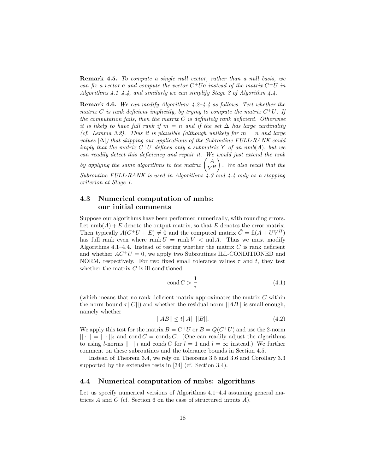**Remark 4.5.** *To compute a single null vector, rather than a null basis, we can fix a vector* **c** *and compute the vector*  $C^+U$ **c** *instead of the matrix*  $C^+U$  *in Algorithms 4.1–4.4, and similarly we can simplify Stage 3 of Algorithm 4.4.*

**Remark 4.6.** *We can modify Algorithms 4.2–4.4 as follows. Test whether the matrix* C is rank deficient implicitly, by trying to compute the matrix  $C^+U$ . If *the computation fails, then the matrix* C *is definitely rank deficient. Otherwise it is likely to have full rank if*  $m = n$  *and if the set*  $\Delta$  *has large cardinality (cf. Lemma 3.2). Thus it is plausible (although unlikely for* m = n *and large values* |∆|*) that skipping our applications of the Subroutine FULL*·*RANK could imply that the matrix*  $C^+U$  *defines only a submatrix* Y *of an nmb* $(A)$ *, but we can readily detect this deficiency and repair it. We would just extend the nmb* by applying the same algorithms to the matrix  $\begin{pmatrix} A \ Y^H \end{pmatrix}$  . *We also recall that the Subroutine FULL*·*RANK is used in Algorithms 4.3 and 4.4 only as a stopping criterion at Stage 1.*

## **4.3 Numerical computation of nmbs: our initial comments**

Suppose our algorithms have been performed numerically, with rounding errors. Let  $\text{nmb}(A) + E$  denote the output matrix, so that E denotes the error matrix. Then typically  $A(C^+U + E) \neq 0$  and the computed matrix  $\tilde{C} = \text{fl}(A + UV^H)$ has full rank even where rank  $U = \text{rank } V < \text{null } A$ . Thus we must modify Algorithms 4.1–4.4. Instead of testing whether the matrix  $C$  is rank deficient and whether  $AC^+U = 0$ , we apply two Subroutines ILL-CONDITIONED and NORM, respectively. For two fixed small tolerance values  $\tau$  and t, they test whether the matrix  $C$  is ill conditioned.

$$
\operatorname{cond} C > \frac{1}{\tau} \tag{4.1}
$$

(which means that no rank deficient matrix approximates the matrix  $C$  within the norm bound  $\tau||C||$  and whether the residual norm  $||AB||$  is small enough, namely whether

$$
||AB|| \le t||A|| \, ||B||. \tag{4.2}
$$

We apply this test for the matrix  $B = C^+U$  or  $B = Q(C^+U)$  and use the 2-norm  $|| \cdot || = || \cdot ||_2$  and cond  $C = \text{cond}_2 C$ . (One can readily adjust the algorithms to using l-norms  $|| \cdot ||_l$  and cond<sub>l</sub> C for  $l = 1$  and  $l = \infty$  instead.) We further comment on these subroutines and the tolerance bounds in Section 4.5.

Instead of Theorem 3.4, we rely on Theorems 3.5 and 3.6 and Corollary 3.3 supported by the extensive tests in [34] (cf. Section 3.4).

## **4.4 Numerical computation of nmbs: algorithms**

Let us specify numerical versions of Algorithms 4.1–4.4 assuming general matrices A and C (cf. Section 6 on the case of structured inputs A).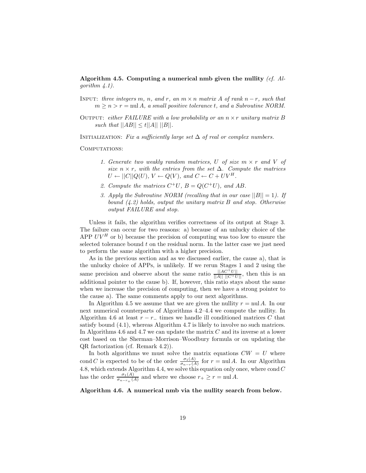**Algorithm 4.5. Computing a numerical nmb given the nullity** *(cf. Algorithm 4.1).*

- INPUT: *three integers*  $m$ *,*  $n$ *, and*  $r$ *, an*  $m \times n$  *matrix* A *of rank*  $n r$ *, such that*  $m \geq n > r = \text{null } A$ , a small positive tolerance t, and a Subroutine NORM.
- Output: *either FAILURE with a low probability or an* n × r *unitary matrix* B *such that*  $||AB|| \le t ||A|| ||B||$ *.*

INITIALIZATION: Fix a sufficiently large set  $\Delta$  of real or complex numbers.

COMPUTATIONS:

- *1. Generate two weakly random matrices,* U *of size* m × r *and* V *of size*  $n \times r$ *, with the entries from the set*  $\Delta$ *. Compute the matrices*  $U \leftarrow ||C||Q(U), V \leftarrow Q(V),$  and  $C \leftarrow C + UV^H$ .
- 2. Compute the matrices  $C^+U$ ,  $B = Q(C^+U)$ , and AB.
- *3. Apply the Subroutine NORM (recalling that in our case*  $||B|| = 1$ *). If bound (4.2) holds, output the unitary matrix* B *and stop. Otherwise output FAILURE and stop.*

Unless it fails, the algorithm verifies correctness of its output at Stage 3. The failure can occur for two reasons: a) because of an unlucky choice of the APP  $UV^H$  or b) because the precision of computing was too low to ensure the selected tolerance bound  $t$  on the residual norm. In the latter case we just need to perform the same algorithm with a higher precision.

As in the previous section and as we discussed earlier, the cause a), that is the unlucky choice of APPs, is unlikely. If we rerun Stages 1 and 2 using the same precision and observe about the same ratio  $\frac{||AC^{\dagger}U||}{||A|| ||C^{\dagger}U||}$ , then this is an additional pointer to the cause b). If, however, this ratio stays about the same when we increase the precision of computing, then we have a strong pointer to the cause a). The same comments apply to our next algorithms.

In Algorithm 4.5 we assume that we are given the nullity  $r = \text{null } A$ . In our next numerical counterparts of Algorithms 4.2–4.4 we compute the nullity. In Algorithm 4.6 at least  $r - r_-\,$  times we handle ill conditioned matrices C that satisfy bound (4.1), whereas Algorithm 4.7 is likely to involve no such matrices. In Algorithms 4.6 and 4.7 we can update the matrix  $C$  and its inverse at a lower cost based on the Sherman–Morrison–Woodbury formula or on updating the QR factorization (cf. Remark 4.2)).

In both algorithms we must solve the matrix equations  $CW = U$  where cond *C* is expected to be of the order  $\frac{\sigma_1(A)}{\sigma_{n-r}(A)}$  for  $r = \text{null } A$ . In our Algorithm 4.8, which extends Algorithm 4.4, we solve this equation only once, where  $\text{cond } C$ has the order  $\frac{\sigma_1(A)}{\sigma_{n-r_+}(A)}$  and where we choose  $r_+ \geq r = \text{null } A$ .

**Algorithm 4.6. A numerical nmb via the nullity search from below.**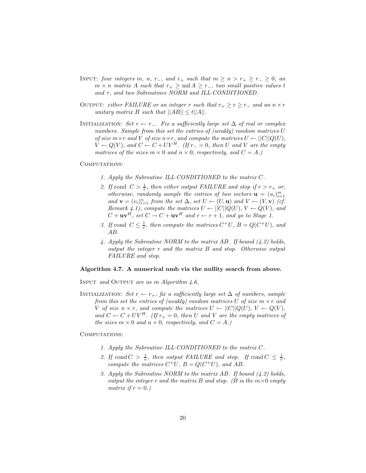- INPUT: *four integers* m, n, r<sub>−</sub>, and r<sub>+</sub> such that  $m \ge n > r_+ \ge r_-\ge 0$ , an  $m \times n$  *matrix* A such that  $r_+ \geq \text{null } A \geq r_-,$  two small positive values t *and* τ, and two Subroutines NORM and ILL·*CONDITIONED*.
- OUTPUT: *either FAILURE* or an integer r *such that*  $r_+ \geq r \geq r_-$  *and an*  $n \times r$ *unitary matrix* B *such that*  $||AB|| \le t||A||$ .
- INITIALIZATION: *Set*  $r \leftarrow r_-\$ . Fix a sufficiently large set  $\Delta$  of real or complex *numbers. Sample from this set the entries of (weakly) random matrices* U *of size*  $m \times r$  *and* V *of size*  $n \times r$ *, and compute the matrices*  $U \leftarrow ||C||Q(U)$ *,*  $V \leftarrow Q(V)$ , and  $C \leftarrow C + UV^H$ . (If  $r_ = 0$ , then U and V are the empty *matrices of the sizes*  $m \times 0$  *and*  $n \times 0$ *, respectively, and*  $C = A$ *.*)

#### COMPUTATIONS:

- *1. Apply the Subroutine ILL*·*CONDITIONED to the matrix* C*.*
- 2. If cond  $C > \frac{1}{\tau}$ , then either output FAILURE and stop if  $r > r_+$  or, *otherwise, randomly sample the entries of two vectors*  $\mathbf{u} = (u_i)_{i=1}^m$  $and \mathbf{v} = (v_i)_{i=1}^n$  *from the set*  $\Delta$ *, set*  $U \leftarrow (U, \mathbf{u})$  *and*  $V \leftarrow (V, \mathbf{v})$  *(cf.*) *Remark 4.1), compute the matrices*  $U \leftarrow ||C||Q(U), V \leftarrow Q(V)$ *, and*  $C + \mathbf{u}\mathbf{v}^H$ , set  $C \to C + \mathbf{u}\mathbf{v}^H$  and  $r \leftarrow r+1$ , and go to Stage 1.
- *3. If* cond  $C \leq \frac{1}{\tau}$ , then compute the matrices  $C^+U$ ,  $B = Q(C^+U)$ , and AB*.*
- *4. Apply the Subroutine NORM to the matrix* AB*. If bound (4.2) holds, output the integer* r *and the matrix* B *and stop. Otherwise output FAILURE and stop.*

#### **Algorithm 4.7. A numerical nmb via the nullity search from above.**

Input *and* Output *are as in Algorithm 4.6.*

INITIALIZATION: *Set*  $r \leftarrow r_+$ *, fix a sufficiently large set*  $\Delta$  *of numbers, sample from this set the entries of (weakly) random matrices* U *of size* m × r *and* V of size  $n \times r$ , and compute the matrices  $U \leftarrow ||C||Q(U), V \leftarrow Q(V)$ , and  $C \leftarrow C + UV^H$ *. (If*  $r_+ = 0$ *, then* U and V are the empty matrices of *the sizes*  $m \times 0$  *and*  $n \times 0$ *, respectively, and*  $C = A$ *.*)

#### COMPUTATIONS:

- *1. Apply the Subroutine ILL*·*CONDITIONED to the matrix* C*.*
- 2. If cond  $C > \frac{1}{\tau}$ , then output FAILURE and stop. If cond  $C \leq \frac{1}{\tau}$ , *compute the matrices*  $C^+U$ *,*  $B = Q(C^+U)$ *, and* AB.
- *3. Apply the Subroutine NORM to the matrix* AB*. If bound (4.2) holds, output the integer*  $r$  *and the matrix*  $B$  *and stop.* ( $B$  *is the*  $m \times 0$  *empty matrix if*  $r = 0.$ *)*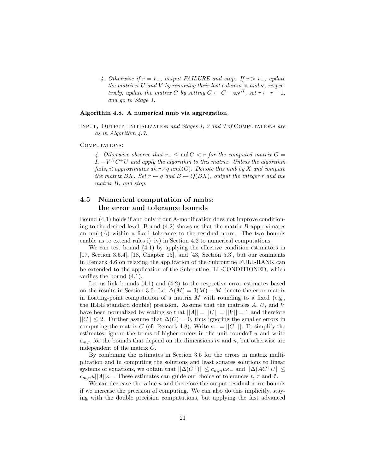*4. Otherwise if* r = r−*, output FAILURE and stop. If* r>r−*, update the matrices* U *and* V *by removing their last columns* **u** *and* **v***, respectively; update the matrix* C *by setting*  $C \leftarrow C - \mathbf{u} \mathbf{v}^H$ , set  $r \leftarrow r - 1$ , *and go to Stage 1.*

#### **Algorithm 4.8. A numerical nmb via aggregation***.*

Input**,** Output*,* Initialization *and Stages 1, 2 and 3 of* Computations *are as in Algorithm 4.7.*

#### COMPUTATIONS:

*4. Otherwise observe that*  $r_$   $\leq$  nul  $G < r$  *for the computed matrix*  $G =$  $I_r - V^H C^+ U$  and apply the algorithm to this matrix. Unless the algorithm *fails, it approximates an*  $r \times q$  *nmb*(*G*)*. Denote this nmb by* X *and compute the matrix* BX. Set  $r \leftarrow q$  and  $B \leftarrow Q(BX)$ , output the integer r and the *matrix* B*, and stop.*

## **4.5 Numerical computation of nmbs: the error and tolerance bounds**

Bound (4.1) holds if and only if our A-modification does not improve conditioning to the desired level. Bound  $(4.2)$  shows us that the matrix B approximates an  $\text{nmb}(A)$  within a fixed tolerance to the residual norm. The two bounds enable us to extend rules i)–iv) in Section 4.2 to numerical computations.

We can test bound (4.1) by applying the effective condition estimators in [17, Section 3.5.4], [18, Chapter 15], and [43, Section 5.3], but our comments in Remark 4.6 on relaxing the application of the Subroutine FULL·RANK can be extended to the application of the Subroutine ILL·CONDITIONED, which verifies the bound (4.1).

Let us link bounds  $(4.1)$  and  $(4.2)$  to the respective error estimates based on the results in Section 3.5. Let  $\Delta(M) = \text{fl}(M) - M$  denote the error matrix in floating-point computation of a matrix M with rounding to a fixed (e.g., the IEEE standard double) precision. Assume that the matrices  $A, U$ , and  $V$ have been normalized by scaling so that  $||A|| = ||U|| = ||V|| = 1$  and therefore  $||C|| \leq 2$ . Further assume that  $\Delta(C) = 0$ , thus ignoring the smaller errors in computing the matrix C (cf. Remark 4.8). Write  $\kappa_- = ||C^+||$ . To simplify the estimates, ignore the terms of higher orders in the unit roundoff  $u$  and write  $c_{m,n}$  for the bounds that depend on the dimensions m and n, but otherwise are independent of the matrix C.

By combining the estimates in Section 3.5 for the errors in matrix multiplication and in computing the solutions and least squares solutions to linear systems of equations, we obtain that  $||\Delta(C^+)|| \leq c_{m,n} u\kappa_-$  and  $||\Delta(AC^+U|| \leq$  $c_{m,n}u||A||_{K_{-}}$ . These estimates can guide our choice of tolerances t,  $\tau$  and  $\tilde{\tau}$ .

We can decrease the value  $u$  and therefore the output residual norm bounds if we increase the precision of computing. We can also do this implicitly, staying with the double precision computations, but applying the fast advanced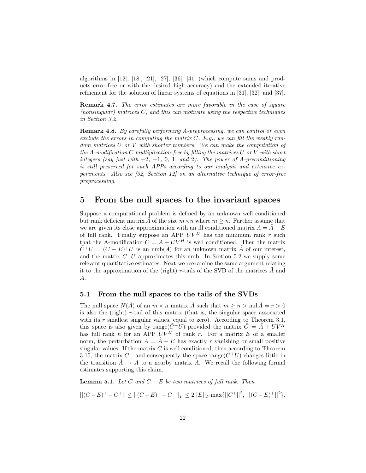algorithms in [12], [18], [21], [27], [36], [41] (which compute sums and products error-free or with the desired high accuracy) and the extended iterative refinement for the solution of linear systems of equations in [31], [32], and [37].

**Remark 4.7.** *The error estimates are more favorable in the case of square (nonsingular) matrices* C*, and this can motivate using the respective techniques in Section 3.2.*

**Remark 4.8.** *By carefully performing A-preprocessing, we can control or even exclude the errors in computing the matrix* C*. E.g., we can fill the weakly random matrices* U *or* V *with shorter numbers. We can make the computation of the A-modification* C *multiplication-free by filling the matrices* U *or* V *with short integers (say just with* −2*,* −1*,* 0*,* 1*, and* 2*). The power of A-preconditioning is still preserved for such APPs according to our analysis and extensive experiments. Also see [32, Section 12] on an alternative technique of error-free preprocessing.*

# **5 From the null spaces to the invariant spaces**

Suppose a computational problem is defined by an unknown well conditioned but rank deficient matrix  $\tilde{A}$  of the size  $m \times n$  where  $m \geq n$ . Further assume that we are given its close approximation with an ill conditioned matrix  $A = \tilde{A} - E$ of full rank. Finally suppose an APP  $UV^H$  has the minimum rank r such that the A-modification  $C = A + UV^H$  is well conditioned. Then the matrix  $\tilde{C}^{+}U = (C - E)^{+}U$  is an nmb( $\tilde{A}$ ) for an unknown matrix  $\tilde{A}$  of our interest, and the matrix  $C^+U$  approximates this nmb. In Section 5.2 we supply some relevant quantitative estimates. Next we reexamine the same argument relating it to the approximation of the (right) r-tails of the SVD of the matrices  $A$  and A.

#### **5.1 From the null spaces to the tails of the SVDs**

The null space  $N(\tilde{A})$  of an  $m \times n$  matrix  $\tilde{A}$  such that  $m \geq n > \text{null } \tilde{A} = r > 0$ is also the (right) r-tail of this matrix (that is, the singular space associated with its r smallest singular values, equal to zero). According to Theorem  $3.1$ , this space is also given by range( $\tilde{C}^+U$ ) provided the matrix  $\tilde{C} = \tilde{A} + UV^H$ has full rank n for an APP  $UV^H$  of rank r. For a matrix E of a smaller norm, the perturbation  $A = \tilde{A} - E$  has exactly r vanishing or small positive singular values. If the matrix  $\tilde{C}$  is well conditioned, then according to Theorem 3.15, the matrix  $\tilde{C}^+$  and consequently the space range( $\tilde{C}^+U$ ) changes little in the transition  $A \rightarrow A$  to a nearby matrix A. We recall the following formal estimates supporting this claim.

**Lemma 5.1.** *Let*  $C$  *and*  $C - E$  *be two matrices of full rank. Then* 

$$
||(C-E)^+ - C^+|| \le ||(C-E)^+ - C^+||_F \le 2||E||_F \max\{||C^+||^2, ||(C-E)^+||^2\}.
$$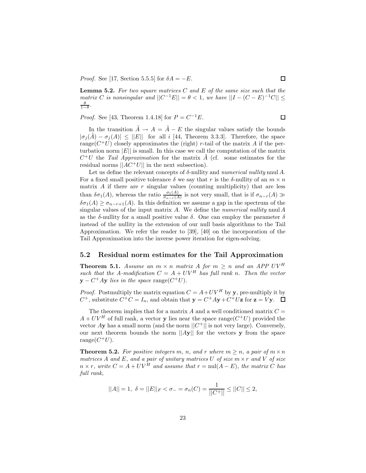*Proof.* See [17, Section 5.5.5] for  $\delta A = -E$ .

**Lemma 5.2.** *For two square matrices* C *and* E *of the same size such that the matrix* C *is nonsingular and*  $||C^{-1}E|| = \theta < 1$ *, we have*  $||I - (C - E)^{-1}C|| \le$  $\frac{\theta}{1-\theta}$ .

*Proof.* See [43, Theorem 1.4.18] for  $P = C^{-1}E$ .

In the transition  $\tilde{A} \rightarrow A = \tilde{A} - E$  the singular values satisfy the bounds  $|\sigma_i(\tilde{A}) - \sigma_i(A)| \leq ||E||$  for all i [44, Theorem 3.3.3]. Therefore, the space range( $C^+U$ ) closely approximates the (right) r-tail of the matrix A if the perturbation norm  $|E|$  is small. In this case we call the computation of the matrix  $C^+U$  the *Tail Approximation* for the matrix A (cf. some estimates for the residual norms  $||AC^+U||$  in the next subsection).

Let us define the relevant concepts of δ-nullity and *numerical nullity* nnul A. For a fixed small positive tolerance  $\delta$  we say that r is the  $\delta$ -nullity of an  $m \times n$ matrix  $A$  if there are  $r$  singular values (counting multiplicity) that are less than  $\delta \sigma_1(A)$ , whereas the ratio  $\frac{\sigma_1(A)}{\sigma_{n-r}(A)}$  is not very small, that is if  $\sigma_{n-r}(A) \gg$  $\delta \sigma_1(A) \geq \sigma_{n-r+1}(A)$ . In this definition we assume a gap in the spectrum of the singular values of the input matrix A. We define the *numerical nullity* nnul A as the  $\delta$ -nullity for a small positive value  $\delta$ . One can employ the parameter  $\delta$ instead of the nullity in the extension of our null basis algorithms to the Tail Approximation. We refer the reader to [39], [40] on the incorporation of the Tail Approximation into the inverse power iteration for eigen-solving.

### **5.2 Residual norm estimates for the Tail Approximation**

**Theorem 5.1.** *Assume an*  $m \times n$  *matrix A for*  $m \geq n$  *and an APP*  $UV^H$ *such that the A-modification*  $C = A + UV^H$  *has full rank n. Then the vector*  $\mathbf{v} - C^+ A \mathbf{v}$  *lies in the space* range( $C^+ U$ ).

*Proof.* Postmultiply the matrix equation  $C = A + UV^H$  by **y**, pre-multiply it by  $C^+$ , substitute  $C^+C = I_n$ , and obtain that  $\mathbf{y} = C^+Ay + C^+U\mathbf{z}$  for  $\mathbf{z} = V\mathbf{y}$ .

The theorem implies that for a matrix  $A$  and a well conditioned matrix  $C =$  $A + UV^H$  of full rank, a vector **y** lies near the space range( $C^+U$ ) provided the vector Ay has a small norm (and the norm  $||C^+||$  is not very large). Conversely, our next theorem bounds the norm  $||A\mathbf{v}||$  for the vectors **y** from the space range $(C^+U)$ .

**Theorem 5.2.** *For positive integers* m, n, and r where  $m \ge n$ , a pair of  $m \times n$ *matrices* A and E, and a pair of unitary matrices U of size  $m \times r$  and V of size  $n \times r$ , write  $C = A + UV^H$  and assume that  $r = \text{null}(A - E)$ , the matrix C has *full rank,*

$$
||A|| = 1, \ \delta = ||E||_F < \sigma_- = \sigma_n(C) = \frac{1}{||C^+||} \le ||C|| \le 2,
$$

 $\Box$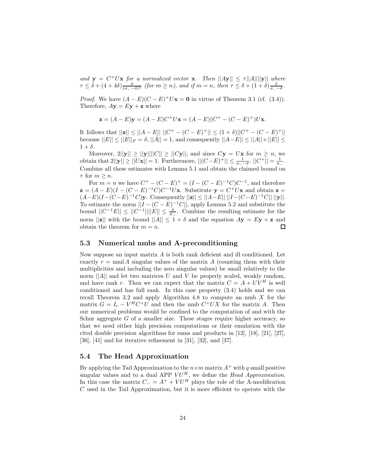*and*  $y = C^+Ux$  *for a normalized vector* **x***. Then*  $||Ay|| \le \tau ||A||||y||$  *where*  $\tau \leq \delta + (4+4\delta) \frac{\delta}{(\sigma - \delta)^2}$  (for  $m \geq n$ ), and if  $m = n$ , then  $\tau \leq \delta + (1+\delta) \frac{\delta}{\sigma - \delta}$ .

*Proof.* We have  $(A - E)(C - E)^+ U$ **x** = **0** in virtue of Theorem 3.1 (cf. (3.4)). Therefore,  $A$ **y** =  $E$ **y** + **z** where

$$
\mathbf{z} = (A - E)\mathbf{y} = (A - E)C^{+}U\mathbf{x} = (A - E)(C^{+} - (C - E)^{+})U\mathbf{x}.
$$

It follows that  $||\mathbf{z}|| ≤ ||A - E|| ||C^+ - (C - E)^+|| ≤ (1 + δ)||C^+ - (C - E)^+||$ because  $||E|| \le ||E||_F = \delta$ ,  $||\hat{A}|| = 1$ , and consequently  $||A - E|| \le ||A|| + ||E|| \le$  $1 + \delta$ .

Moreover,  $2||y|| \ge ||y|| ||C|| \ge ||Cy||$ , and since  $Cy = Ux$  for  $m \ge n$ , we obtain that  $2||y|| \ge ||Ux|| = 1$ . Furthermore,  $||(C-E)^+|| \le \frac{1}{\sigma_--\delta}$ ,  $||C^+|| = \frac{1}{\sigma_-}$ . Combine all these estimates with Lemma 5.1 and obtain the claimed bound on  $\tau$  for  $m \geq n$ .

For  $m = n$  we have  $C^+ - (C - E)^+ = (I - (C - E)^{-1}C)C^{-1}$ , and therefore  $\mathbf{z} = (A - E)(I - (C - E)^{-1}C)C^{-1}U\mathbf{x}$ . Substitute  $\mathbf{y} = C^{+}U\mathbf{x}$  and obtain  $\mathbf{z} =$  $(A-E)(I-(C-E)^{-1}C)y$ . Consequently  $||z|| \le ||A-E|| ||I-(C-E)^{-1}C|| ||y||$ . To estimate the norm  $||I - (C - E)^{-1}C||$ , apply Lemma 5.2 and substitute the bound  $||C^{-1}E|| \le ||C^{-1}|| ||E|| \le \frac{\delta}{\sigma_-}$ . Combine the resulting estimate for the norm  $||\mathbf{z}||$  with the bound  $||A|| \leq 1 + \delta$  and the equation  $A\mathbf{y} = E\mathbf{y} + \mathbf{z}$  and obtain the theorem for  $m = n$ .  $\Box$ 

## **5.3 Numerical nmbs and A-preconditioning**

Now suppose an input matrix A is both rank deficient and ill conditioned. Let exactly  $r = \text{null } A$  singular values of the matrix A (counting them with their multiplicities and including the zero singular values) be small relatively to the norm  $||A||$  and let two matrices U and V be properly scaled, weakly random, and have rank r. Then we can expect that the matrix  $C = A + UV^H$  is well conditioned and has full rank. In this case property (3.4) holds and we can recall Theorem 3.2 and apply Algorithm 4.8 to compute an nmb  $X$  for the matrix  $G = I_r - V^H C^+ U$  and then the nmb  $C^+ U X$  for the matrix A. Then our numerical problems would be confined to the computation of and with the Schur aggregate  $G$  of a smaller size. These stages require higher accuracy, so that we need either high precision computations or their emulation with the cited double precision algorithms for sums and products in [12], [18], [21], [27], [36], [41] and for iterative refinement in [31], [32], and [37].

## **5.4 The Head Approximation**

By applying the Tail Approximation to the  $n \times m$  matrix  $A^+$  with q small positive singular values and to a dual APP  $VU^H$ , we define the *Head Approximation*. In this case the matrix  $C_ = A^+ + V U^H$  plays the role of the A-modification C used in the Tail Approximation, but it is more efficient to operate with the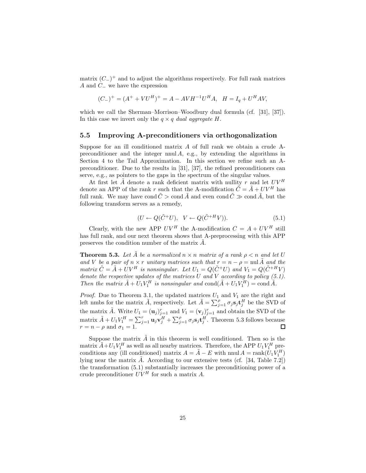matrix  $(C_{-})^{+}$  and to adjust the algorithms respectively. For full rank matrices A and  $C_$  we have the expression

$$
(C_{-})^{+} = (A^{+} + VU^{H})^{+} = A - AVH^{-1}U^{H}A, \quad H = I_{q} + U^{H}AV,
$$

which we call the Sherman–Morrison–Woodbury dual formula (cf. [31], [37]). In this case we invert only the  $q \times q$  *dual aggregate* H.

#### **5.5 Improving A-preconditioners via orthogonalization**

Suppose for an ill conditioned matrix A of full rank we obtain a crude Apreconditioner and the integer  $n \text{nu} A$ , e.g., by extending the algorithms in Section 4 to the Tail Approximation. In this section we refine such an Apreconditioner. Due to the results in [31], [37], the refined preconditioners can serve, e.g., as pointers to the gaps in the spectrum of the singular values.

At first let  $A$  denote a rank deficient matrix with nullity  $r$  and let  $UV^H$ denote an APP of the rank r such that the A-modification  $\tilde{C} = \tilde{A} + UV^H$  has full rank. We may have cond  $\tilde{C} > \text{cond }\tilde{A}$  and even cond  $\tilde{C} \gg \text{cond }\tilde{A}$ , but the following transform serves as a remedy,

$$
(U \leftarrow Q(\tilde{C}^+U), \quad V \leftarrow Q(\tilde{C}^{+H}V)).
$$
\n
$$
(5.1)
$$

Clearly, with the new APP  $UV^H$  the A-modification  $C = A + UV^H$  still has full rank, and our next theorem shows that A-preprocessing with this APP preserves the condition number of the matrix  $\tilde{A}$ .

**Theorem 5.3.** Let  $\tilde{A}$  be a normalized  $n \times n$  matrix of a rank  $\rho \leq n$  and let U *and* V *be a pair of*  $n \times r$  *unitary matrices such that*  $r = n - \rho = \text{null} \tilde{A}$  *and the matrix*  $\tilde{C} = \tilde{A} + \tilde{U}V^H$  *is nonsingular. Let*  $U_1 = Q(\tilde{C}^+U)$  *and*  $V_1 = Q(\tilde{C}^{+H}V)$ *denote the respective updates of the matrices* U *and* V *according to policy (5.1). Then the matrix*  $\tilde{A} + \tilde{U}_1 V_1^H$  *is nonsingular and* cond $(\tilde{A} + U_1 V_1^H) = \text{cond }\tilde{A}$ *.* 

*Proof.* Due to Theorem 3.1, the updated matrices  $U_1$  and  $V_1$  are the right and left nmbs for the matrix  $\tilde{A}$ , respectively. Let  $\tilde{A} = \sum_{i=1}^{\rho} \sigma_j \mathbf{s}_j \mathbf{t}_i^H$  be the SVD of the matrix  $\tilde{A}$ . Write  $U_1 = (\mathbf{u}_j)_{j=1}^r$  and  $V_1 = (\mathbf{v}_j)_{j=1}^r$  and obtain the SVD of the matrix  $\tilde{A} + U_1 V_1^H = \sum_{i=1}^r \mathbf{u}_j \mathbf{v}_i^H + \sum_{i=1}^{\rho} \sigma_i \mathbf{s}_j \mathbf{t}_i^H$ . Theorem 5.3 follows because  $r = n - \rho$  and  $\sigma_1 = 1$ .

Suppose the matrix  $\tilde{A}$  in this theorem is well conditioned. Then so is the matrix  $\tilde{A} + U_1 V_1^H$  as well as all nearby matrices. Therefore, the APP  $U_1 V_1^H$  preconditions any (ill conditioned) matrix  $A = \tilde{A} - E$  with nnul  $A = \text{rank}(U_1 V_1^H)$ lying near the matrix  $\tilde{A}$ . According to our extensive tests (cf. [34, Table 7.2]) the transformation (5.1) substantially increases the preconditioning power of a crude preconditioner  $UV^H$  for such a matrix A.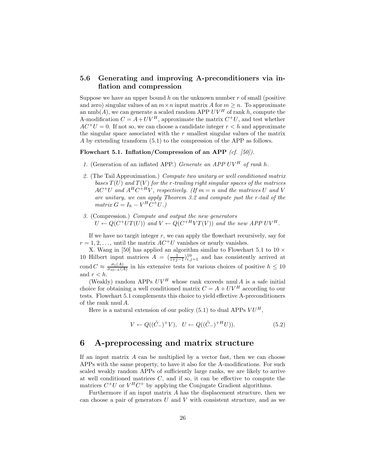## **5.6 Generating and improving A-preconditioners via inflation and compression**

Suppose we have an upper bound h on the unknown number  $r$  of small (positive and zero) singular values of an  $m \times n$  input matrix A for  $m \geq n$ . To approximate an  $\text{nmb}(A)$ , we can generate a scaled random APP  $UV^H$  of rank h, compute the A-modification  $C = A + UV^H$ , approximate the matrix  $C^+U$ , and test whether  $AC^{+}U = 0$ . If not so, we can choose a candidate integer  $r < h$  and approximate the singular space associated with the  $r$  smallest singular values of the matrix A by extending transform (5.1) to the compression of the APP as follows.

### **Flowchart 5.1. Inflation/Compression of an APP** *(cf. [50]).*

- *1.* (Generation of an inflated APP.) *Generate an APP UV<sup>H</sup> of rank* h.
- *2.* (The Tail Approximation.) *Compute two unitary or well conditioned matrix bases* T(U) *and* T(V ) *for the* r*-trailing right singular spaces of the matrices*  $AC^+U$  and  $A^HC^{+H}V$ , respectively. (If  $m = n$  and the matrices U and V *are unitary, we can apply Theorem 3.2 and compute just the* r*-tail of the*  $matrix G = I_h - V^H C^+ U.$
- *3.* (Compression.) *Compute and output the new generators*  $U \leftarrow Q(C^+UT(U))$  and  $V \leftarrow Q(C^{+H}VT(V))$  and the new APP UV<sup>H</sup>.

If we have no targit integer  $r$ , we can apply the flowchart recursively, say for  $r = 1, 2, \ldots$ , until the matrix  $AC^+U$  vanishes or nearly vanishes.

X. Wang in [50] has applied an algorithm similar to Flowchart 5.1 to  $10 \times$ 10 Hilbert input matrices  $A = \left(\frac{1}{i+j-1}\right)_{i,j=1}^{10}$  and has consistently arrived at cond  $C \approx \frac{\sigma_1(A)}{\sigma_{10-h}(A)}$  in his extensive tests for various choices of positive  $h \leq 10$ and  $r < h$ .

(Weakly) random APPs  $UV^H$  whose rank exceeds nnul A is a safe initial choice for obtaining a well conditioned matrix  $C = A + UV^H$  according to our tests. Flowchart 5.1 complements this choice to yield effective A-preconditioners of the rank nnul A.

Here is a natural extension of our policy  $(5.1)$  to dual APPs  $VU<sup>H</sup>$ ,

$$
V \leftarrow Q((\tilde{C}_{-})^{+}V), \ \ U \leftarrow Q((\tilde{C}_{-})^{+H}U)). \tag{5.2}
$$

## **6 A-preprocessing and matrix structure**

If an input matrix  $A$  can be multiplied by a vector fast, then we can choose APPs with the same property, to have it also for the A-modifications. For such scaled weakly random APPs of sufficiently large ranks, we are likely to arrive at well conditioned matrices  $C$ , and if so, it can be effective to compute the matrices  $C^+U$  or  $V^HC^+$  by applying the Conjugate Gradient algorithms.

Furthermore if an input matrix  $A$  has the displacement structure, then we can choose a pair of generators  $U$  and  $V$  with consistent structure, and as we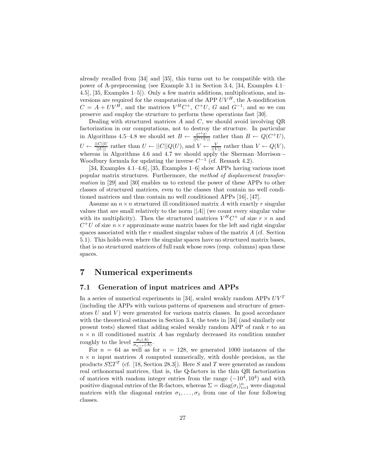already recalled from [34] and [35], this turns out to be compatible with the power of A-preprocessing (see Example 3.1 in Section 3.4, [34, Examples 4.1– 4.5], [35, Examples 1–5]). Only a few matrix additions, multiplications, and inversions are required for the computation of the APP  $UV^H$ , the A-modification  $C = A + UV^{\hat{H}}$ , and the matrices  $V^H C^+$ ,  $C^+ U$ ,  $G$  and  $G^{-1}$ , and so we can preserve and employ the structure to perform these operations fast [30].

Dealing with structured matrices  $A$  and  $C$ , we should avoid involving  $QR$ factorization in our computations, not to destroy the structure. In particular in Algorithms 4.5–4.8 we should set  $B \leftarrow \frac{C^+U}{\|C^+U\|}$  rather than  $B \leftarrow Q(C^+U)$ ,  $U \leftarrow \frac{||C||U}{||U||}$  rather than  $U \leftarrow ||C||Q(U)$ , and  $V \leftarrow \frac{V}{||V||}$  rather than  $V \leftarrow Q(V)$ , whereas in Algorithms 4.6 and 4.7 we should apply the Sherman–Morrison–-Woodbury formula for updating the inverse  $C^{-1}$  (cf. Remark 4.2).

[34, Examples 4.1–4.6], [35, Examples 1–6] show APPs having various most popular matrix structures. Furthermore, the *method of displacement transformation* in [29] and [30] enables us to extend the power of these APPs to other classes of structured matrices, even to the classes that contain no well conditioned matrices and thus contain no well conditioned APPs [16], [47].

Assume an  $n \times n$  structured ill conditioned matrix A with exactly r singular values that are small relatively to the norm  $||A||$  (we count every singular value with its multiplicity). Then the structured matrices  $V^H C^+$  of size  $r \times n$  and  $C^+U$  of size  $n \times r$  approximate some matrix bases for the left and right singular spaces associated with the  $r$  smallest singular values of the matrix  $A$  (cf. Section 5.1). This holds even where the singular spaces have no structured matrix bases, that is no structured matrices of full rank whose rows (resp. columns) span these spaces.

# **7 Numerical experiments**

## **7.1 Generation of input matrices and APPs**

In a series of numerical experiments in [34], scaled weakly random APPs  $UV<sup>T</sup>$ (including the APPs with various patterns of sparseness and structure of generators  $U$  and  $V$ ) were generated for various matrix classes. In good accordance with the theoretical estimates in Section 3.4, the tests in [34] (and similarly our present tests) showed that adding scaled weakly random APP of rank  $r$  to an  $n \times n$  ill conditioned matrix A has regularly decreased its condition number roughly to the level  $\frac{\sigma_1(A)}{\sigma_{n-r}(A)}$ .

For  $n = 64$  as well as for  $n = 128$ , we generated 1000 instances of the  $n \times n$  input matrices A computed numerically, with double precision, as the products  $S\Sigma T^{T}$  (cf. [18, Section 28.3]). Here S and T were generated as random real orthonormal matrices, that is, the Q-factors in the thin QR factorization of matrices with random integer entries from the range  $(-10^4, 10^4)$  and with positive diagonal entries of the R-factors, whereas  $\Sigma = \text{diag}(\sigma_i)_{i=1}^n$  were diagonal matrices with the diagonal entries  $\sigma_1, \ldots, \sigma_1$  from one of the four following classes.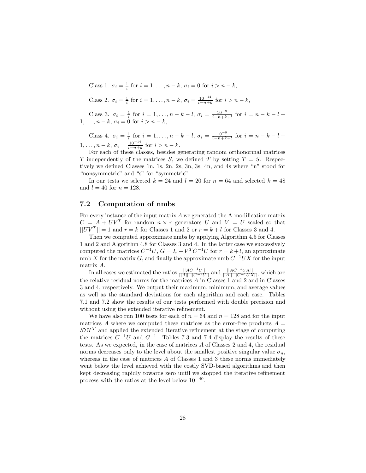Class 1.  $\sigma_i = \frac{1}{i}$  for  $i = 1, ..., n - k$ ,  $\sigma_i = 0$  for  $i > n - k$ , Class 2.  $\sigma_i = \frac{1}{i}$  for  $i = 1, ..., n - k$ ,  $\sigma_i = \frac{10^{-14}}{i - n + k}$  for  $i > n - k$ ,

Class 3.  $\sigma_i = \frac{1}{i}$  for  $i = 1, ..., n - k - l$ ,  $\sigma_i = \frac{10^{-9}}{i - n + k + l}$  for  $i = n - k - l + 1, ..., n - k$ ,  $\sigma_i = 0$  for  $i > n - k$ ,

Class 4.  $\sigma_i = \frac{1}{i}$  for  $i = 1, ..., n - k - l$ ,  $\sigma_i = \frac{10^{-9}}{i - n + k + l}$  for  $i = n - k - l +$ 1,...,  $n - k$ ,  $\sigma_i = \frac{10^{-14}}{i - n + k}$  for  $i > n - k$ .<br>For each of these classes, besides generating random orthonormal matrices

T independently of the matrices S, we defined T by setting  $T = S$ . Respectively we defined Classes 1n, 1s, 2n, 2s, 3n, 3s, 4n, and 4s where "n" stood for "nonsymmetric" and "s" for "symmetric".

In our tests we selected  $k = 24$  and  $l = 20$  for  $n = 64$  and selected  $k = 48$ and  $l = 40$  for  $n = 128$ .

### **7.2 Computation of nmbs**

For every instance of the input matrix A we generated the A-modification matrix  $C = A + UV^T$  for random  $n \times r$  generators U and  $V = U$  scaled so that  $||UV^T|| = 1$  and  $r = k$  for Classes 1 and 2 or  $r = k + l$  for Classes 3 and 4.

Then we computed approximate nmbs by applying Algorithm 4.5 for Classes 1 and 2 and Algorithm 4.8 for Classes 3 and 4. In the latter case we successively computed the matrices  $C^{-1}U$ ,  $G = I_r - V^T C^{-1}U$  for  $r = k+l$ , an approximate nmb X for the matrix G, and finally the approximate nmb  $C^{-1}UX$  for the input matrix A.

 $\text{In all cases we estimated the ratios } \frac{||AC^{-1}U||}{||A|| ||C^{-1}U||}$  and  $\frac{||AC^{-1}UX||}{||A|| ||C^{-1}UX||}$ , which are the relative residual norms for the matrices  $A$  in Classes  $1$  and  $2$  and in Classes 3 and 4, respectively. We output their maximum, minimum, and average values as well as the standard deviations for each algorithm and each case. Tables 7.1 and 7.2 show the results of our tests performed with double precision and without using the extended iterative refinement.

We have also run 100 tests for each of  $n = 64$  and  $n = 128$  and for the input matrices A where we computed these matrices as the error-free products  $A =$  $S\Sigma T^{T}$  and applied the extended iterative refinement at the stage of computing the matrices  $C^{-1}U$  and  $G^{-1}$ . Tables 7.3 and 7.4 display the results of these tests. As we expected, in the case of matrices A of Classes 2 and 4, the residual norms decreases only to the level about the smallest positive singular value  $\sigma_n$ , whereas in the case of matrices A of Classes 1 and 3 these norms immediately went below the level achieved with the costly SVD-based algorithms and then kept decreasing rapidly towards zero until we stopped the iterative refinement process with the ratios at the level below  $10^{-40}$ .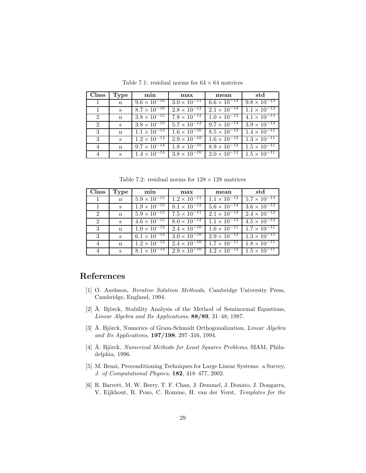| Class        | Type              | min                              | max                              | mean                             | std                              |
|--------------|-------------------|----------------------------------|----------------------------------|----------------------------------|----------------------------------|
| $\mathbf{1}$ | $\mathbf n$       | $9.6 \times \overline{10^{-16}}$ | $3.0 \times 10^{-11}$            | $6.6 \times 10^{-14}$            | $9.8 \times 10^{-13}$            |
| $\mathbf{1}$ | $S_{\mathcal{L}}$ | $8.7 \times 10^{-16}$            | $2.8 \times 10^{-12}$            | $2.1 \times 10^{-14}$            | $1.1 \times 10^{-13}$            |
| 2            | $\mathbf{n}$      | $3.8 \times 10^{-15}$            | $7.8 \times 10^{-12}$            | $1.0 \times 10^{-13}$            | $4.1 \times 10^{-13}$            |
| 2            | S                 | $3.8 \times \overline{10^{-15}}$ | $5.7 \times \overline{10^{-12}}$ | $9.7 \times 10^{-14}$            | $3.9 \times 10^{-13}$            |
| 3            | $\mathbf n$       | $1.1 \times 10^{-13}$            | $1.6 \times \overline{10^{-10}}$ | $8.5 \times \overline{10^{-12}}$ | $1.4 \times \overline{10^{-11}}$ |
| 3            | S                 | $1.2 \times 10^{-14}$            | $2.9 \times 10^{-10}$            | $1.6 \times 10^{-12}$            | $1.3 \times 10^{-11}$            |
| 4            | $\mathbf n$       | $9.7 \times \overline{10^{-14}}$ | $1.8 \times \overline{10^{-10}}$ | $8.9 \times 10^{-12}$            | $1.5 \times 10^{-11}$            |
| 4            | $S_{-}$           | $1.\overline{4 \times 10^{-14}}$ | $3.8 \times 10^{-10}$            | $2.0 \times 10^{-12}$            | $1.5 \times 10^{-11}$            |

Table 7.1: residual norms for  $64 \times 64$  matrices

Table 7.2: residual norms for  $128 \times 128$  matrices

| Class        | Type         | min                              | max                              | mean                             | std                   |
|--------------|--------------|----------------------------------|----------------------------------|----------------------------------|-----------------------|
| $\mathbf{1}$ | n            | $5.9 \times 10^{-15}$            | $1.2 \times 10^{-11}$            | $1.1 \times \overline{10^{-13}}$ | $5.7 \times 10^{-13}$ |
| $\mathbf{1}$ | S            | $1.9 \times 10^{-15}$            | $8.1 \times 10^{-12}$            | $5.6 \times 10^{-14}$            | $3.6 \times 10^{-13}$ |
| $2^{\circ}$  | $\mathbf n$  | $5.9 \times \overline{10^{-15}}$ | $7.5 \times 10^{-11}$            | $2.1 \times 10^{-13}$            | $2.4 \times 10^{-12}$ |
| 2            | S            | $4.6 \times 10^{-15}$            | $8.0 \times \overline{10^{-12}}$ | $1.1 \times 10^{-13}$            | $4.5 \times 10^{-13}$ |
| 3            | $\mathbf{n}$ | $1.0 \times \overline{10^{-12}}$ | $2.4 \times \overline{10^{-10}}$ | $1.6 \times 10^{-11}$            | $1.7 \times 10^{-11}$ |
| 3            | S            | $6.1 \times 10^{-14}$            | $3.0 \times \overline{10^{-10}}$ | $2.9 \times 10^{-12}$            | $1.3 \times 10^{-11}$ |
| 4            | $\mathbf n$  | $1.2 \times \overline{10^{-12}}$ | $2.4 \times 10^{-10}$            | $1.7 \times \overline{10^{-11}}$ | $1.8 \times 10^{-11}$ |
| 4            | $\mathbf{s}$ | $8.1 \times \overline{10^{-14}}$ | $2.9 \times 10^{-10}$            | $4.2 \times 10^{-12}$            | $1.5 \times 10^{-11}$ |

# **References**

- [1] O. Axelsson, *Iterative Solution Methiods*, Cambridge University Press, Cambridge, England, 1994.
- [2] Å. Björck, Stability Analysis of the Method of Seminormal Equations, *Linear Algebra and Its Applications*, **88/89**, 31–48, 1987.
- [3] Å. Björck, Numerics of Gram-Schmidt Orthogonalization, *Linear Algebra and Its Applications*, **197/198**, 297–316, 1994.
- [4] Å. Björck, *Numerical Methods for Least Squares Problems*, SIAM, Philadelphia, 1996.
- [5] M. Benzi, Preconditioning Techniques for Large Linear Systems: a Survey, *J. of Computational Physics*, **182**, 418–477, 2002.
- [6] R. Barrett, M. W. Berry, T. F. Chan, J. Demmel, J. Donato, J. Dongarra, V. Eijkhout, R. Pozo, C. Romine, H. van der Vorst, *Templates for the*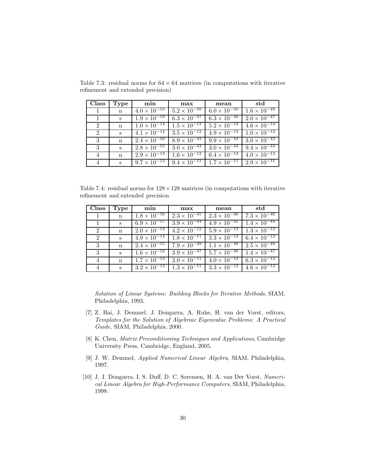| Class          | Type         | min                   | max                   | mean                             | std                              |
|----------------|--------------|-----------------------|-----------------------|----------------------------------|----------------------------------|
|                | n            | $4.0 \times 10^{-53}$ | $5.2 \times 10^{-49}$ | $6.0 \times \overline{10^{-50}}$ | $1.6 \times \overline{10^{-49}}$ |
|                | S            | $1.9 \times 10^{-59}$ | $6.3 \times 10^{-47}$ | $6.3 \times 10^{-48}$            | $2.0 \times 10^{-47}$            |
| $\overline{2}$ | $\mathbf n$  | $1.0 \times 10^{-14}$ | $1.5 \times 10^{-13}$ | $5.2 \times 10^{-14}$            | $4.6 \times 10^{-14}$            |
| 2              | S            | $4.1 \times 10^{-14}$ | $3.5 \times 10^{-12}$ | $4.9 \times 10^{-13}$            | $1.0 \times 10^{-12}$            |
| 3              | n            | $2.4 \times 10^{-50}$ | $8.9 \times 10^{-43}$ | $9.9 \times 10^{-44}$            | $3.0 \times 10^{-43}$            |
| -3             | S            | $2.8 \times 10^{-55}$ | $3.0 \times 10^{-43}$ | $3.0 \times 10^{-44}$            | $9.4 \times 10^{-44}$            |
| 4              | $\mathbf n$  | $2.9 \times 10^{-13}$ | $1.6 \times 10^{-12}$ | $6.4 \times 10^{-13}$            | $4.0 \times 10^{-13}$            |
| 4              | $\mathbf{s}$ | $9.7 \times 10^{-13}$ | $9.4 \times 10^{-11}$ | $1.7 \times 10^{-11}$            | $2.9 \times 10^{-11}$            |

Table 7.3: residual norms for  $64 \times 64$  matrices (in computations with iterative refinement and extended precision)

Table 7.4: residual norms for  $128 \times 128$  matrices (in computations with iterative refinement and extended precision

| Class                            | Type        | min                              | max                              | mean                  | std                              |
|----------------------------------|-------------|----------------------------------|----------------------------------|-----------------------|----------------------------------|
| $\begin{array}{c} 1 \end{array}$ | n           | $1.8 \times 10^{-56}$            | $2.3 \times 10^{-45}$            | $2.3 \times 10^{-46}$ | $7.3 \times \overline{10^{-46}}$ |
|                                  | S           | $6.9 \times 10^{-57}$            | $3.9 \times 10^{-44}$            | $4.9 \times 10^{-45}$ | $1.4 \times 10^{-44}$            |
| 2                                | $\mathbf n$ | $2.0 \times 10^{-14}$            | $4.2 \times 10^{-12}$            | $5.9 \times 10^{-13}$ | $1.3 \times 10^{-12}$            |
| 2                                | $S_{\cdot}$ | $4.9 \times 10^{-14}$            | $1.8 \times \overline{10^{-11}}$ | $3.3 \times 10^{-12}$ | $6.4 \times 10^{-12}$            |
| 3                                | n           | $2.4 \times 10^{-55}$            | $7.9 \times \overline{10^{-49}}$ | $1.1 \times 10^{-49}$ | $2.5 \times 10^{-49}$            |
| -3                               | S           | $1.6 \times \overline{10^{-52}}$ | $3.9 \times \overline{10^{-47}}$ | $5.7 \times 10^{-48}$ | $1.4 \times 10^{-47}$            |
| 4                                | n           | $1.7 \times 10^{-13}$            | $2.0 \times 10^{-11}$            | $4.0 \times 10^{-12}$ | $6.3 \times \overline{10^{-12}}$ |
| 4                                | $S_{-}$     | $3.2 \times 10^{-13}$            | $1.3 \times 10^{-11}$            | $3.3 \times 10^{-12}$ | $4.6 \times 10^{-12}$            |

*Solution of Linear Systems: Building Blocks for Iterative Methods*, SIAM, Philadelphia, 1993.

- [7] Z. Bai, J. Demmel, J. Dongarra, A. Ruhe, H. van der Vorst, editors, *Templates for the Solution of Algebraic Eigenvalue Problems: A Practical Guide*, SIAM, Philadelphia, 2000.
- [8] K. Chen, *Matrix Preconditioning Techniques and Applications*, Cambridge University Press, Cambridge, England, 2005.
- [9] J. W. Demmel, *Applied Numerical Linear Algebra*, SIAM, Philadelphia, 1997.
- [10] J. J. Dongarra, I. S. Duff, D. C. Sorensen, H. A. van Der Vorst, *Numerical Linear Algebra for High-Performance Computers*, SIAM, Philadelphia, 1998.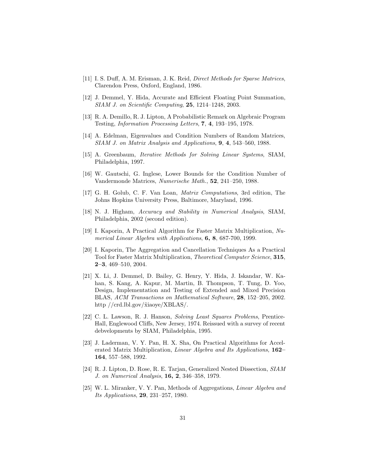- [11] I. S. Duff, A. M. Erisman, J. K. Reid, *Direct Methods for Sparse Matrices*, Clarendon Press, Oxford, England, 1986.
- [12] J. Demmel, Y. Hida, Accurate and Efficient Floating Point Summation, *SIAM J. on Scientific Computing*, **25**, 1214–1248, 2003.
- [13] R. A. Demillo, R. J. Lipton, A Probabilistic Remark on Algebraic Program Testing, *Information Processing Letters*, **7**, **4**, 193–195, 1978.
- [14] A. Edelman, Eigenvalues and Condition Numbers of Random Matrices, *SIAM J. on Matrix Analysis and Applications*, **9**, **4**, 543–560, 1988.
- [15] A. Greenbaum, *Iterative Methods for Solving Linear Systems*, SIAM, Philadelphia, 1997.
- [16] W. Gautschi, G. Inglese, Lower Bounds for the Condition Number of Vandermonde Matrices, *Numerische Math.*, **52**, 241–250, 1988.
- [17] G. H. Golub, C. F. Van Loan, *Matrix Computations*, 3rd edition, The Johns Hopkins University Press, Baltimore, Maryland, 1996.
- [18] N. J. Higham, *Accuracy and Stability in Numerical Analysis*, SIAM, Philadelphia, 2002 (second edition).
- [19] I. Kaporin, A Practical Algorithm for Faster Matrix Multiplication, *Numerical Linear Algebra with Applications*, **6, 8**, 687-700, 1999.
- [20] I. Kaporin, The Aggregation and Cancellation Techniques As a Practical Tool for Faster Matrix Multiplication, *Theoretical Computer Science*, **315**, **2–3**, 469–510, 2004.
- [21] X. Li, J. Demmel, D. Bailey, G. Henry, Y. Hida, J. Iskandar, W. Kahan, S. Kang, A. Kapur, M. Martin, B. Thompson, T. Tung, D. Yoo, Design, Implementation and Testing of Extended and Mixed Precision BLAS, *ACM Transactions on Mathematical Software*, **28**, 152–205, 2002. http //crd.lbl.gov/ $\tilde{\text{xi}}$ iaoye/XBLAS/.
- [22] C. L. Lawson, R. J. Hanson, *Solving Least Squares Problems*, Prentice-Hall, Englewood Cliffs, New Jersey, 1974. Reissued with a survey of recent debvelopments by SIAM, Philadelphia, 1995.
- [23] J. Laderman, V. Y. Pan, H. X. Sha, On Practical Algorithms for Accelerated Matrix Multiplication, *Linear Algebra and Its Applications*, **162– 164**, 557–588, 1992.
- [24] R. J. Lipton, D. Rose, R. E. Tarjan, Generalized Nested Dissection, *SIAM J. on Numerical Analysis*, **16, 2**, 346–358, 1979.
- [25] W. L. Miranker, V. Y. Pan, Methods of Aggregations, *Linear Algebra and Its Applications*, **29**, 231–257, 1980.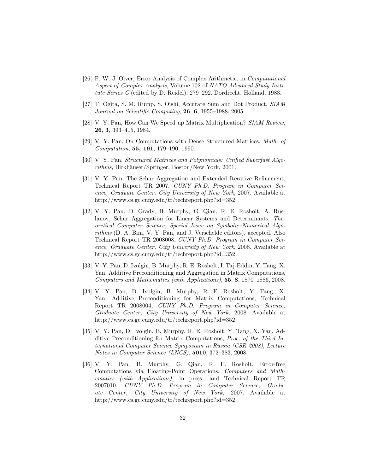- [26] F. W. J. Olver, Error Analysis of Complex Arithmetic, in *Computational Aspect of Complex Analysis*, Volume 102 of *NATO Advanced Study Institute Series C* (edited by D. Reidel), 279–292. Dordrecht, Holland, 1983.
- [27] T. Ogita, S. M. Rump, S. Oishi, Accurate Sum and Dot Product, *SIAM Journal on Scientific Computing*, **26**, **6**, 1955–1988, 2005.
- [28] V. Y. Pan, How Can We Speed up Matrix Multiplication? *SIAM Review,* **26**, **3**, 393–415, 1984.
- [29] V. Y. Pan, On Computations with Dense Structured Matrices, *Math. of Computation*, **55, 191**, 179–190, 1990.
- [30] V. Y. Pan, *Structured Matrices and Polynomials: Unified Superfast Algorithms*, Birkhäuser/Springer, Boston/New York, 2001.
- [31] V. Y. Pan, The Schur Aggregation and Extended Iterative Refinement, Technical Report TR 2007, *CUNY Ph.D. Program in Computer Science, Graduate Center, City University of New York*, 2007. Available at http://www.cs.gc.cuny.edu/tr/techreport.php?id=352
- [32] V. Y. Pan, D. Grady, B. Murphy, G. Qian, R. E. Rosholt, A. Ruslanov, Schur Aggregation for Linear Systems and Determinants, *Theoretical Computer Science*, *Special Issue on Symbolic–Numerical Algorithms* (D. A. Bini, V. Y. Pan, and J. Verschelde editors), accepted. Also Technical Report TR 2008008, *CUNY Ph.D. Program in Computer Science, Graduate Center, City University of New York*, 2008. Available at http://www.cs.gc.cuny.edu/tr/techreport.php?id=352
- [33] V. Y. Pan, D. Ivolgin, B. Murphy, R. E. Rosholt, I. Taj-Eddin, Y. Tang, X. Yan, Additive Preconditioning and Aggregation in Matrix Computations, *Computers and Mathematics (with Applications)*, **55**, **8**, 1870–1886, 2008.
- [34] V. Y. Pan, D. Ivolgin, B. Murphy, R. E. Rosholt, Y. Tang, X. Yan, Additive Preconditioning for Matrix Computations, Technical Report TR 2008004, *CUNY Ph.D. Program in Computer Science, Graduate Center, City University of New York*, 2008. Available at http://www.cs.gc.cuny.edu/tr/techreport.php?id=352
- [35] V. Y. Pan, D. Ivolgin, B. Murphy, R. E. Rosholt, Y. Tang, X. Yan, Additive Preconditioning for Matrix Computations, *Proc. of the Third International Computer Science Symposium in Russia (CSR 2008)*, *Lecture Notes in Computer Science (LNCS)*, **5010**, 372–383, 2008.
- [36] V. Y. Pan, B. Murphy, G. Qian, R. E. Rosholt, Error-free Computations via Floating-Point Operations, *Computers and Mathematics (with Applications)*, in press, and Technical Report TR 2007010, *CUNY Ph.D. Program in Computer Science, Graduate Center, City University of New York*, 2007. Available at http://www.cs.gc.cuny.edu/tr/techreport.php?id=352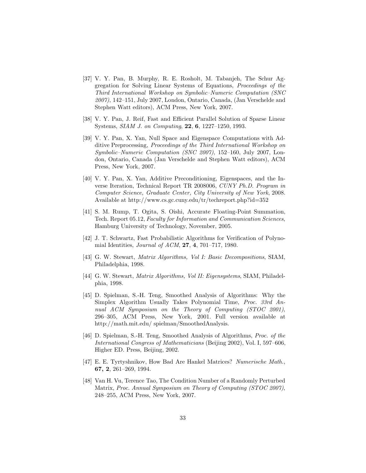- [37] V. Y. Pan, B. Murphy, R. E. Rosholt, M. Tabanjeh, The Schur Aggregation for Solving Linear Systems of Equations, *Proceedings of the Third International Workshop on Symbolic–Numeric Computation (SNC 2007)*, 142–151, July 2007, London, Ontario, Canada, (Jan Verschelde and Stephen Watt editors), ACM Press, New York, 2007.
- [38] V. Y. Pan, J. Reif, Fast and Efficient Parallel Solution of Sparse Linear Systems, *SIAM J. on Computing*, **22**, **6**, 1227–1250, 1993.
- [39] V. Y. Pan, X. Yan, Null Space and Eigenspace Computations with Additive Preprocessing, *Proceedings of the Third International Workshop on Symbolic–Numeric Computation (SNC 2007)*, 152–160, July 2007, London, Ontario, Canada (Jan Verschelde and Stephen Watt editors), ACM Press, New York, 2007.
- [40] V. Y. Pan, X. Yan, Additive Preconditioning, Eigenspaces, and the Inverse Iteration, Technical Report TR 2008006, *CUNY Ph.D. Program in Computer Science, Graduate Center, City University of New York*, 2008. Available at http://www.cs.gc.cuny.edu/tr/techreport.php?id=352
- [41] S. M. Rump, T. Ogita, S. Oishi, Accurate Floating-Point Summation, Tech. Report 05.12, *Faculty for Information and Communication Sciences*, Hamburg University of Technology, November, 2005.
- [42] J. T. Schwartz, Fast Probabilistic Algorithms for Verification of Polynomial Identities, *Journal of ACM*, **27**, **4**, 701–717, 1980.
- [43] G. W. Stewart, *Matrix Algorithms, Vol I: Basic Decompositions*, SIAM, Philadelphia, 1998.
- [44] G. W. Stewart, *Matrix Algorithms, Vol II: Eigensystems*, SIAM, Philadelphia, 1998.
- [45] D. Spielman, S.-H. Teng, Smoothed Analysis of Algorithms: Why the Simplex Algorithm Usually Takes Polynomial Time, *Proc. 33rd Annual ACM Symposium on the Theory of Computing (STOC 2001)*, 296–305, ACM Press, New York, 2001. Full version available at http://math.mit.edu/ spielman/SmoothedAnalysis.
- [46] D. Spielman, S.-H. Teng, Smoothed Analysis of Algorithms, *Proc. of the International Congress of Mathematicians* (Beijing 2002), Vol. I, 597–606, Higher ED. Press, Beijing, 2002.
- [47] E. E. Tyrtyshnikov, How Bad Are Hankel Matrices? *Numerische Math.*, **67, 2**, 261–269, 1994.
- [48] Van H. Vu, Terence Tao, The Condition Number of a Randomly Perturbed Matrix, *Proc. Annual Symposium on Theory of Computing (STOC 2007)*, 248–255, ACM Press, New York, 2007.